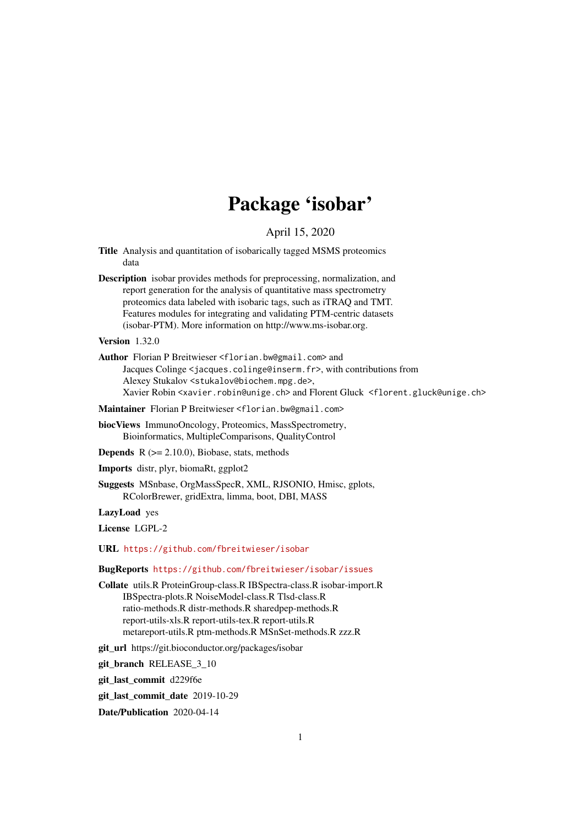# Package 'isobar'

April 15, 2020

- <span id="page-0-0"></span>Title Analysis and quantitation of isobarically tagged MSMS proteomics data
- Description isobar provides methods for preprocessing, normalization, and report generation for the analysis of quantitative mass spectrometry proteomics data labeled with isobaric tags, such as iTRAQ and TMT. Features modules for integrating and validating PTM-centric datasets (isobar-PTM). More information on http://www.ms-isobar.org.

Version 1.32.0

Author Florian P Breitwieser <florian.bw@gmail.com> and Jacques Colinge <jacques.colinge@inserm.fr>, with contributions from Alexey Stukalov <stukalov@biochem.mpg.de>, Xavier Robin <xavier.robin@unige.ch> and Florent Gluck <florent.gluck@unige.ch>

Maintainer Florian P Breitwieser <florian.bw@gmail.com>

- biocViews ImmunoOncology, Proteomics, MassSpectrometry, Bioinformatics, MultipleComparisons, QualityControl
- **Depends**  $R$  ( $>= 2.10.0$ ), Biobase, stats, methods

Imports distr, plyr, biomaRt, ggplot2

Suggests MSnbase, OrgMassSpecR, XML, RJSONIO, Hmisc, gplots, RColorBrewer, gridExtra, limma, boot, DBI, MASS

LazyLoad yes

License LGPL-2

URL <https://github.com/fbreitwieser/isobar>

BugReports <https://github.com/fbreitwieser/isobar/issues>

Collate utils.R ProteinGroup-class.R IBSpectra-class.R isobar-import.R IBSpectra-plots.R NoiseModel-class.R Tlsd-class.R ratio-methods.R distr-methods.R sharedpep-methods.R report-utils-xls.R report-utils-tex.R report-utils.R metareport-utils.R ptm-methods.R MSnSet-methods.R zzz.R

git\_url https://git.bioconductor.org/packages/isobar

git branch RELEASE 3 10

git\_last\_commit d229f6e

git last commit date 2019-10-29

Date/Publication 2020-04-14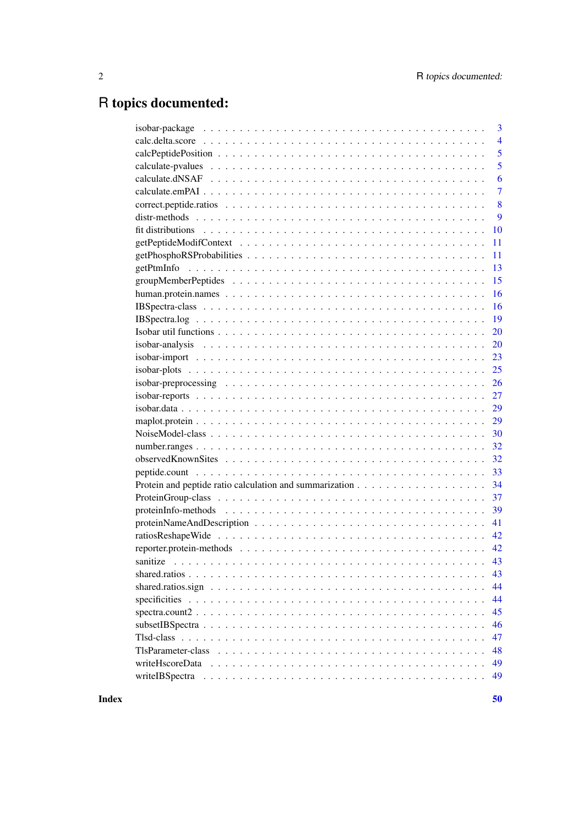# R topics documented:

|                  | 3              |
|------------------|----------------|
|                  | $\overline{4}$ |
|                  | 5              |
|                  | 5              |
|                  | 6              |
|                  | $\overline{7}$ |
|                  | 8              |
|                  | 9              |
|                  | 10             |
|                  | 11             |
|                  | 11             |
|                  | 13             |
|                  | 15             |
|                  | 16             |
|                  | 16             |
|                  | 19             |
|                  | 20             |
|                  | 20             |
|                  | 23             |
|                  | 25             |
|                  | 26             |
|                  | 27             |
|                  | 29             |
|                  | 29             |
|                  | 30             |
|                  | 32             |
|                  | 32             |
|                  | 33             |
|                  | 34             |
|                  | 37             |
|                  | 39             |
|                  | 41             |
|                  | 42             |
|                  | 42             |
|                  |                |
|                  | 43             |
|                  | 44             |
|                  | 44             |
| $spectra.count2$ | 45             |
|                  | 46             |
|                  | 47             |
|                  | 48             |
| writeHscoreData  | 49             |
| writeIBSpectra   | 49             |
|                  |                |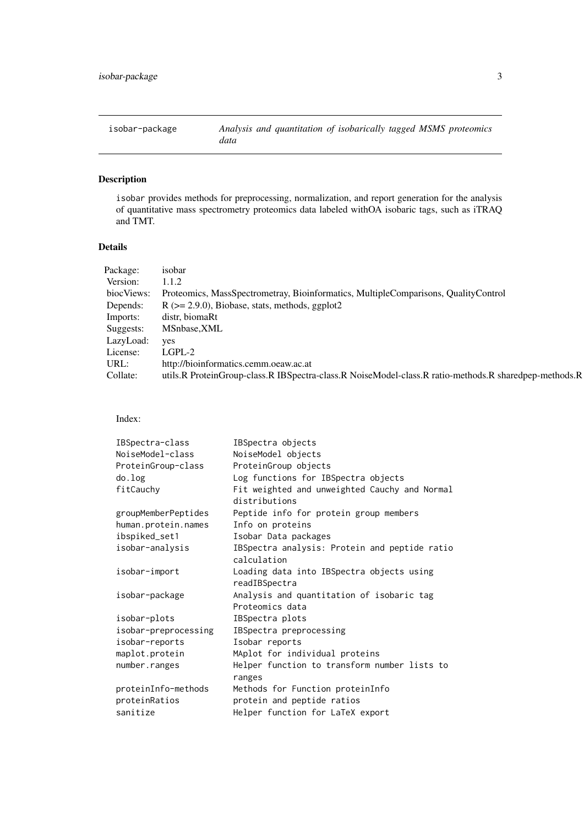<span id="page-2-0"></span>isobar-package *Analysis and quantitation of isobarically tagged MSMS proteomics data*

# Description

isobar provides methods for preprocessing, normalization, and report generation for the analysis of quantitative mass spectrometry proteomics data labeled withOA isobaric tags, such as iTRAQ and TMT.

# Details

| Package:   | isobar                                                                                                |
|------------|-------------------------------------------------------------------------------------------------------|
| Version:   | 1.1.2                                                                                                 |
| biocViews: | Proteomics, MassSpectrometray, Bioinformatics, MultipleComparisons, QualityControl                    |
| Depends:   | $R$ ( $>= 2.9.0$ ), Biobase, stats, methods, ggplot2                                                  |
| Imports:   | distr, biomaRt                                                                                        |
| Suggests:  | MSnbase, XML                                                                                          |
| LazyLoad:  | <b>ves</b>                                                                                            |
| License:   | LGPL-2                                                                                                |
| URL:       | http://bioinformatics.cemm.oeaw.ac.at                                                                 |
| Collate:   | utils.R ProteinGroup-class.R IBSpectra-class.R NoiseModel-class.R ratio-methods.R sharedpep-methods.R |

Index:

| IBSpectra-class      | IBSpectra objects                                              |
|----------------------|----------------------------------------------------------------|
| NoiseModel-class     | NoiseModel objects                                             |
| ProteinGroup-class   | ProteinGroup objects                                           |
| do.log               | Log functions for IBSpectra objects                            |
| fitCauchy            | Fit weighted and unweighted Cauchy and Normal<br>distributions |
| groupMemberPeptides  | Peptide info for protein group members                         |
| human.protein.names  | Info on proteins                                               |
| ibspiked_set1        | Isobar Data packages                                           |
| isobar-analysis      | IBSpectra analysis: Protein and peptide ratio<br>calculation   |
| isobar-import        | Loading data into IBSpectra objects using<br>readIBSpectra     |
| isobar-package       | Analysis and quantitation of isobaric tag<br>Proteomics data   |
| isobar-plots         | IBSpectra plots                                                |
| isobar-preprocessing | IBSpectra preprocessing                                        |
| isobar-reports       | Isobar reports                                                 |
| maplot.protein       | MAplot for individual proteins                                 |
| number.ranges        | Helper function to transform number lists to<br>ranges         |
| proteinInfo-methods  | Methods for Function proteinInfo                               |
| proteinRatios        | protein and peptide ratios                                     |
| sanitize             | Helper function for LaTeX export                               |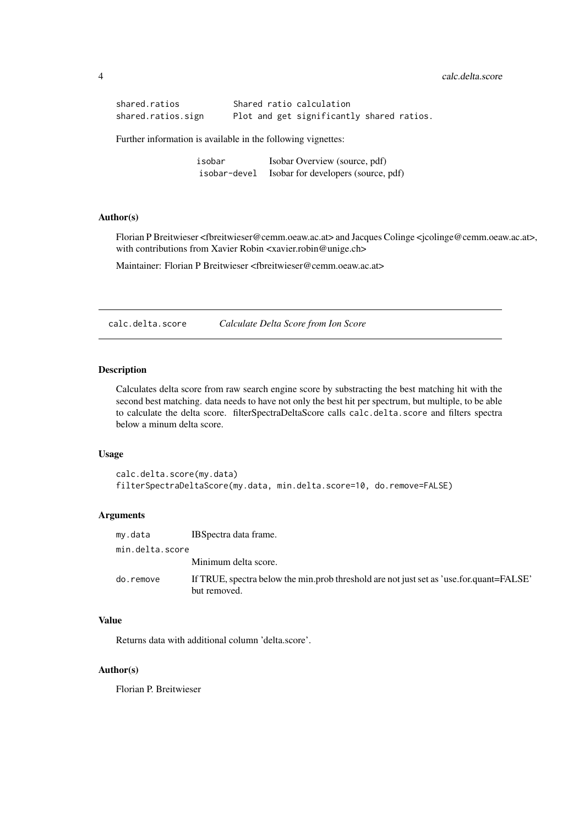```
shared.ratios Shared ratio calculation
shared.ratios.sign Plot and get significantly shared ratios.
```
Further information is available in the following vignettes:

isobar Isobar Overview (source, pdf) isobar-devel Isobar for developers (source, pdf)

#### Author(s)

Florian P Breitwieser <fbreitwieser@cemm.oeaw.ac.at> and Jacques Colinge <jcolinge@cemm.oeaw.ac.at>, with contributions from Xavier Robin <xavier.robin@unige.ch>

Maintainer: Florian P Breitwieser <fbreitwieser@cemm.oeaw.ac.at>

calc.delta.score *Calculate Delta Score from Ion Score*

# Description

Calculates delta score from raw search engine score by substracting the best matching hit with the second best matching. data needs to have not only the best hit per spectrum, but multiple, to be able to calculate the delta score. filterSpectraDeltaScore calls calc.delta.score and filters spectra below a minum delta score.

#### Usage

```
calc.delta.score(my.data)
filterSpectraDeltaScore(my.data, min.delta.score=10, do.remove=FALSE)
```
### Arguments

| my.data         | IBS pectra data frame.                                                                                  |
|-----------------|---------------------------------------------------------------------------------------------------------|
| min.delta.score |                                                                                                         |
|                 | Minimum delta score.                                                                                    |
| do.remove       | If TRUE, spectra below the min.prob threshold are not just set as 'use.for.quant=FALSE'<br>but removed. |

### Value

Returns data with additional column 'delta.score'.

# Author(s)

Florian P. Breitwieser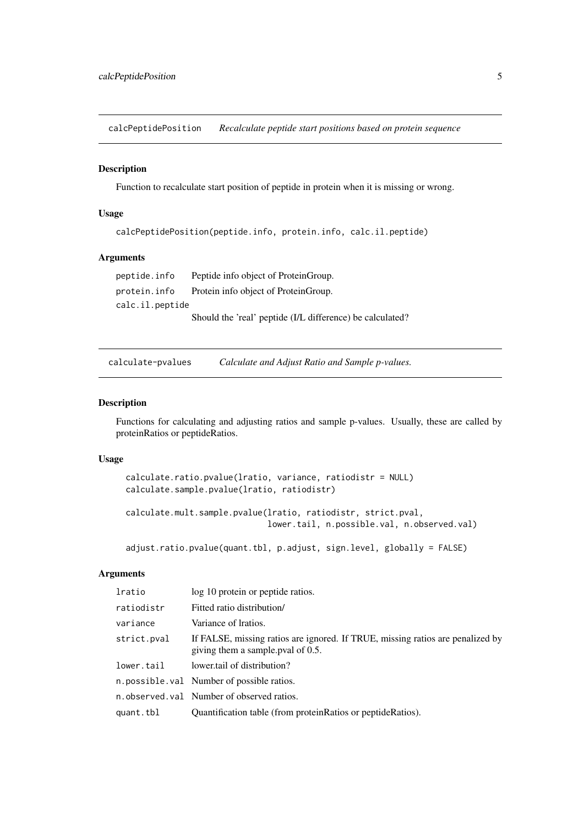<span id="page-4-0"></span>calcPeptidePosition *Recalculate peptide start positions based on protein sequence*

### Description

Function to recalculate start position of peptide in protein when it is missing or wrong.

# Usage

```
calcPeptidePosition(peptide.info, protein.info, calc.il.peptide)
```
#### Arguments

peptide.info Peptide info object of ProteinGroup. protein.info Protein info object of ProteinGroup. calc.il.peptide Should the 'real' peptide (I/L difference) be calculated?

calculate-pvalues *Calculate and Adjust Ratio and Sample p-values.*

# Description

Functions for calculating and adjusting ratios and sample p-values. Usually, these are called by proteinRatios or peptideRatios.

# Usage

```
calculate.ratio.pvalue(lratio, variance, ratiodistr = NULL)
calculate.sample.pvalue(lratio, ratiodistr)
```

```
calculate.mult.sample.pvalue(lratio, ratiodistr, strict.pval,
                             lower.tail, n.possible.val, n.observed.val)
```
adjust.ratio.pvalue(quant.tbl, p.adjust, sign.level, globally = FALSE)

| lratio      | log 10 protein or peptide ratios.                                                                                   |
|-------------|---------------------------------------------------------------------------------------------------------------------|
| ratiodistr  | Fitted ratio distribution/                                                                                          |
| variance    | Variance of Iratios.                                                                                                |
| strict.pval | If FALSE, missing ratios are ignored. If TRUE, missing ratios are penalized by<br>giving them a sample pval of 0.5. |
| lower.tail  | lower tail of distribution?                                                                                         |
|             | n. possible. val Number of possible ratios.                                                                         |
|             | n observed val Number of observed ratios.                                                                           |
| quant.tbl   | Quantification table (from protein Ratios or peptide Ratios).                                                       |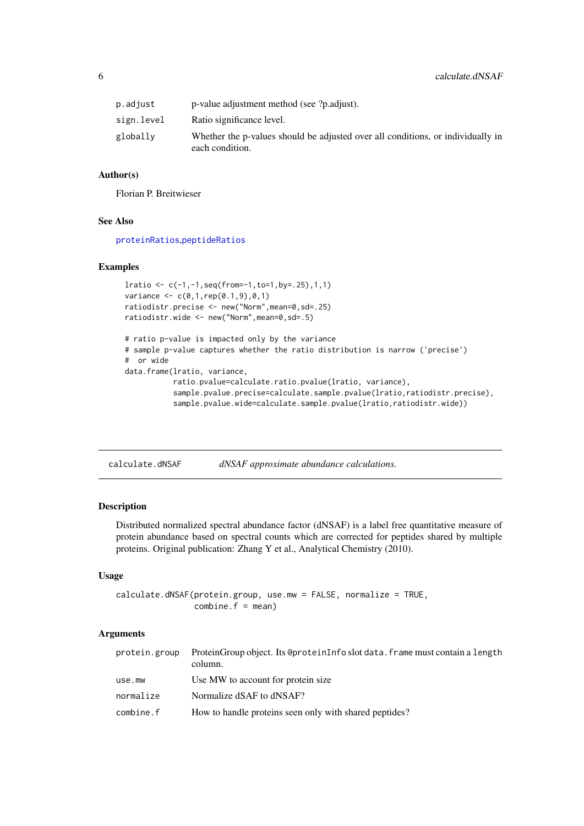<span id="page-5-0"></span>

| p.adjust   | p-value adjustment method (see ?p.adjust).                                                         |
|------------|----------------------------------------------------------------------------------------------------|
| sign.level | Ratio significance level.                                                                          |
| globally   | Whether the p-values should be adjusted over all conditions, or individually in<br>each condition. |

#### Author(s)

Florian P. Breitwieser

#### See Also

[proteinRatios](#page-33-1),[peptideRatios](#page-33-1)

#### Examples

```
lratio <- c(-1,-1,seq(from=-1,to=1,by=.25),1,1)
variance \leq c(0,1, rep(0.1,9),0,1)ratiodistr.precise <- new("Norm",mean=0,sd=.25)
ratiodistr.wide <- new("Norm",mean=0,sd=.5)
# ratio p-value is impacted only by the variance
# sample p-value captures whether the ratio distribution is narrow ('precise')
# or wide
data.frame(lratio, variance,
           ratio.pvalue=calculate.ratio.pvalue(lratio, variance),
           sample.pvalue.precise=calculate.sample.pvalue(lratio,ratiodistr.precise),
           sample.pvalue.wide=calculate.sample.pvalue(lratio,ratiodistr.wide))
```
<span id="page-5-1"></span>calculate.dNSAF *dNSAF approximate abundance calculations.*

#### Description

Distributed normalized spectral abundance factor (dNSAF) is a label free quantitative measure of protein abundance based on spectral counts which are corrected for peptides shared by multiple proteins. Original publication: Zhang Y et al., Analytical Chemistry (2010).

# Usage

```
calculate.dNSAF(protein.group, use.mw = FALSE, normalize = TRUE,
               combine.f = mean)
```

| protein.group | ProteinGroup object. Its @proteinInfo slot data, frame must contain a length<br>column. |
|---------------|-----------------------------------------------------------------------------------------|
| use.mw        | Use MW to account for protein size                                                      |
| normalize     | Normalize dSAF to dNSAF?                                                                |
| combine.f     | How to handle proteins seen only with shared peptides?                                  |
|               |                                                                                         |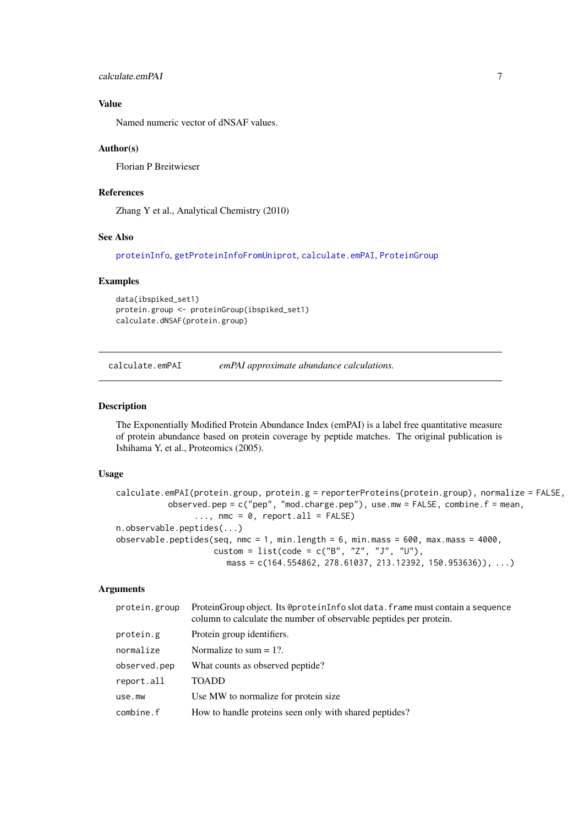# <span id="page-6-0"></span>Value

Named numeric vector of dNSAF values.

# Author(s)

Florian P Breitwieser

#### References

Zhang Y et al., Analytical Chemistry (2010)

#### See Also

[proteinInfo](#page-38-1), [getProteinInfoFromUniprot](#page-38-1), [calculate.emPAI](#page-6-1), [ProteinGroup](#page-36-1)

#### Examples

```
data(ibspiked_set1)
protein.group <- proteinGroup(ibspiked_set1)
calculate.dNSAF(protein.group)
```
<span id="page-6-1"></span>calculate.emPAI *emPAI approximate abundance calculations.*

#### <span id="page-6-2"></span>Description

The Exponentially Modified Protein Abundance Index (emPAI) is a label free quantitative measure of protein abundance based on protein coverage by peptide matches. The original publication is Ishihama Y, et al., Proteomics (2005).

#### Usage

```
calculate.emPAI(protein.group, protein.g = reporterProteins(protein.group), normalize = FALSE,
           observed.pep = c("pep", "mod.charge.pep"), use.mw = FALSE, combine.f = mean,
                \ldots, nmc = 0, report.all = FALSE)
n.observable.peptides(...)
observable.peptides(seq, nmc = 1, min.length = 6, min.mass = 600, max.mass = 4000,
                    custom = list(code = c("B", "Z", "J", "U"),
                       mass = c(164.554862, 278.61037, 213.12392, 150.953636), ...)
```

| protein.group | ProteinGroup object. Its @proteinInfo slot data. frame must contain a sequence<br>column to calculate the number of observable peptides per protein. |
|---------------|------------------------------------------------------------------------------------------------------------------------------------------------------|
| protein.g     | Protein group identifiers.                                                                                                                           |
| normalize     | Normalize to sum $= 1$ ?.                                                                                                                            |
| observed.pep  | What counts as observed peptide?                                                                                                                     |
| report.all    | <b>TOADD</b>                                                                                                                                         |
| use.mw        | Use MW to normalize for protein size.                                                                                                                |
| combine.f     | How to handle proteins seen only with shared peptides?                                                                                               |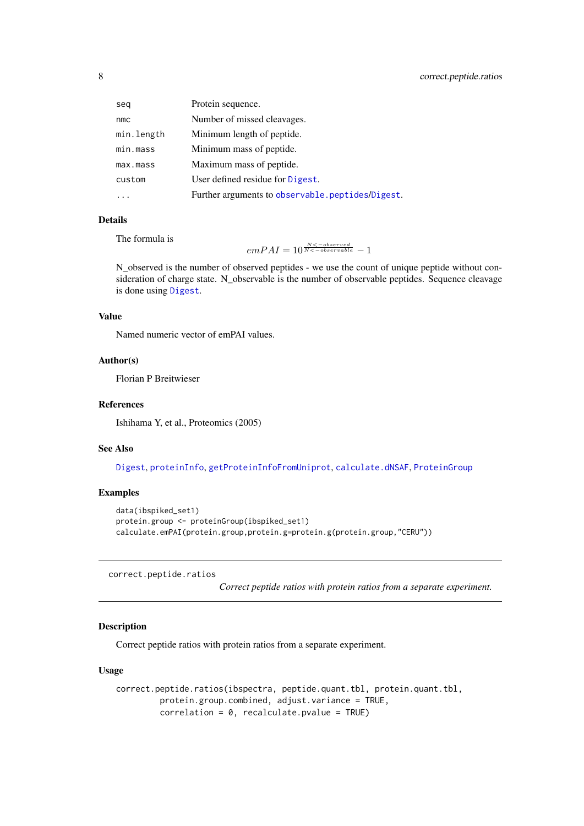<span id="page-7-0"></span>

| seq        | Protein sequence.                                |
|------------|--------------------------------------------------|
| nmc        | Number of missed cleavages.                      |
| min.length | Minimum length of peptide.                       |
| min.mass   | Minimum mass of peptide.                         |
| max.mass   | Maximum mass of peptide.                         |
| custom     | User defined residue for Digest.                 |
|            | Further arguments to observable.peptides/Digest. |

### Details

The formula is

$$
emPAI = 10^{\frac{N < -observed}{N < -observed}} - 1
$$

N\_observed is the number of observed peptides - we use the count of unique peptide without consideration of charge state. N\_observable is the number of observable peptides. Sequence cleavage is done using [Digest](#page-0-0).

# Value

Named numeric vector of emPAI values.

# Author(s)

Florian P Breitwieser

#### References

Ishihama Y, et al., Proteomics (2005)

#### See Also

[Digest](#page-0-0), [proteinInfo](#page-38-1), [getProteinInfoFromUniprot](#page-38-1), [calculate.dNSAF](#page-5-1), [ProteinGroup](#page-36-1)

# Examples

```
data(ibspiked_set1)
protein.group <- proteinGroup(ibspiked_set1)
calculate.emPAI(protein.group,protein.g=protein.g(protein.group,"CERU"))
```
correct.peptide.ratios

*Correct peptide ratios with protein ratios from a separate experiment.*

# Description

Correct peptide ratios with protein ratios from a separate experiment.

# Usage

```
correct.peptide.ratios(ibspectra, peptide.quant.tbl, protein.quant.tbl,
         protein.group.combined, adjust.variance = TRUE,
         correlation = 0, recalculate.pvalue = TRUE)
```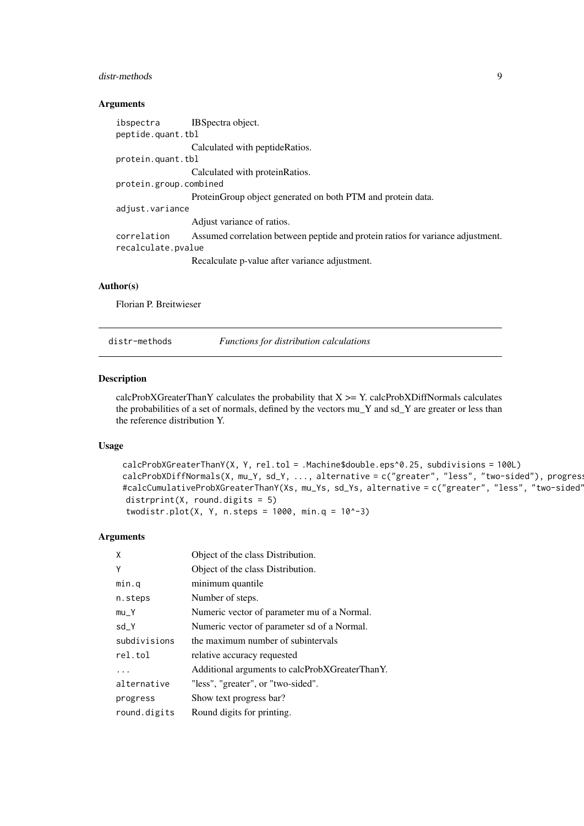### <span id="page-8-0"></span>distr-methods 9

# Arguments

| ibspectra              | IBS pectra object.                                                              |  |
|------------------------|---------------------------------------------------------------------------------|--|
| peptide.quant.tbl      |                                                                                 |  |
|                        | Calculated with peptideRatios.                                                  |  |
| protein.quant.tbl      |                                                                                 |  |
|                        | Calculated with protein Ratios.                                                 |  |
| protein.group.combined |                                                                                 |  |
|                        | Protein Group object generated on both PTM and protein data.                    |  |
| adjust.variance        |                                                                                 |  |
|                        | Adjust variance of ratios.                                                      |  |
| correlation            | Assumed correlation between peptide and protein ratios for variance adjustment. |  |
| recalculate.pvalue     |                                                                                 |  |
|                        | Recalculate p-value after variance adjustment.                                  |  |
|                        |                                                                                 |  |

#### Author(s)

Florian P. Breitwieser

distr-methods *Functions for distribution calculations*

#### <span id="page-8-1"></span>Description

calcProbXGreaterThanY calculates the probability that  $X \geq Y$ . calcProbXDiffNormals calculates the probabilities of a set of normals, defined by the vectors mu\_Y and sd\_Y are greater or less than the reference distribution Y.

# Usage

```
calcProbXGreaterThanY(X, Y, rel.tol = .Machine$double.eps^0.25, subdivisions = 100L)
calcProbability of Theorem 2.1. \text{c} = 100 and \text{c} = 100 and \text{c} = 100 and \text{c} = 100 and \text{c} = 100 and \text{c} = 100 and \text{c} = 100 and \text{c} = 100 and \text{c} = 100 and \text{c} = 100 and \text{c} = 100 and \text{c} = 100 and \text{#calcCumulativeProbXGreaterThanY(Xs, mu_Ys, sd_Ys, alternative = c("greater", "less", "two-sided'
distrprint(X, round.digits = 5)
 twodistr.plot(X, Y, n.steps = 1000, min.q = 10^x-3)
```

| X            | Object of the class Distribution.              |
|--------------|------------------------------------------------|
| Y            | Object of the class Distribution.              |
| min.q        | minimum quantile                               |
| n.steps      | Number of steps.                               |
| $mu_Y$       | Numeric vector of parameter mu of a Normal.    |
| sd_Y         | Numeric vector of parameter sd of a Normal.    |
| subdivisions | the maximum number of subintervals             |
| rel.tol      | relative accuracy requested                    |
|              | Additional arguments to calcProbXGreaterThanY. |
| alternative  | "less", "greater", or "two-sided".             |
| progress     | Show text progress bar?                        |
| round.digits | Round digits for printing.                     |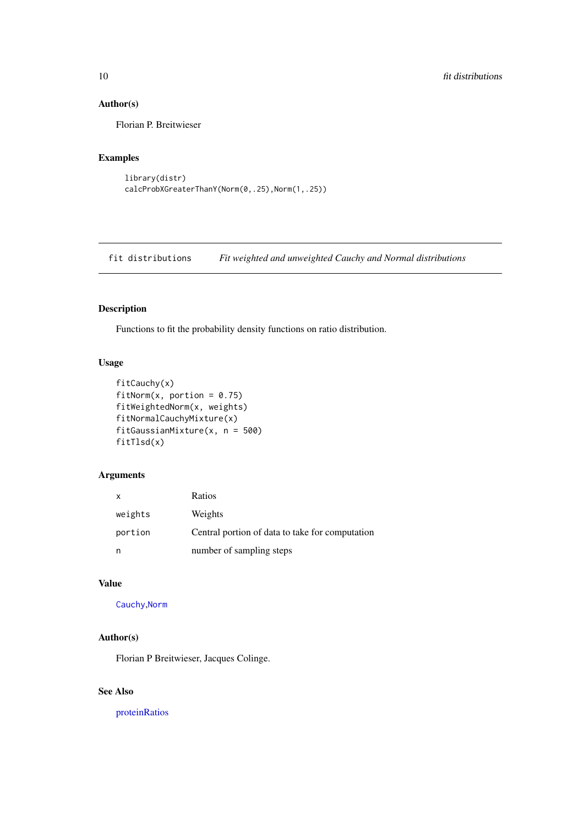# Author(s)

Florian P. Breitwieser

# Examples

```
library(distr)
calcProbXGreaterThanY(Norm(0,.25),Norm(1,.25))
```
fit distributions *Fit weighted and unweighted Cauchy and Normal distributions*

# Description

Functions to fit the probability density functions on ratio distribution.

# Usage

```
fitCauchy(x)
fitNorm(x, portion = 0.75)fitWeightedNorm(x, weights)
fitNormalCauchyMixture(x)
fitGaussianMixture(x, n = 500)
fitTlsd(x)
```
# Arguments

| X       | Ratios                                          |
|---------|-------------------------------------------------|
| weights | Weights                                         |
| portion | Central portion of data to take for computation |
| n       | number of sampling steps                        |

# Value

[Cauchy](#page-0-0),[Norm](#page-0-0)

# Author(s)

Florian P Breitwieser, Jacques Colinge.

### See Also

[proteinRatios](#page-33-1)

<span id="page-9-0"></span>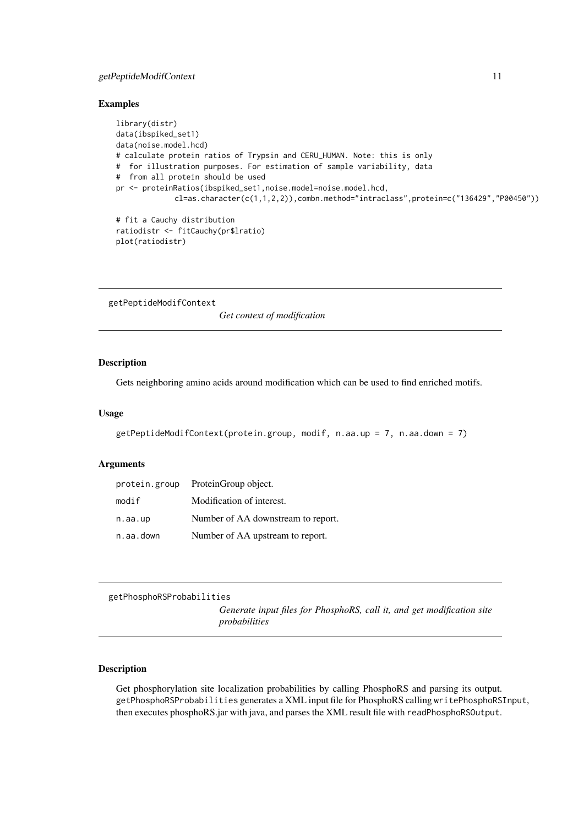#### <span id="page-10-0"></span>getPeptideModifContext 11

#### Examples

```
library(distr)
data(ibspiked_set1)
data(noise.model.hcd)
# calculate protein ratios of Trypsin and CERU_HUMAN. Note: this is only
# for illustration purposes. For estimation of sample variability, data
# from all protein should be used
pr <- proteinRatios(ibspiked_set1,noise.model=noise.model.hcd,
             cl=as.character(c(1,1,2,2)),combn.method="intraclass",protein=c("136429","P00450"))
# fit a Cauchy distribution
ratiodistr <- fitCauchy(pr$lratio)
plot(ratiodistr)
```
getPeptideModifContext

*Get context of modification*

# Description

Gets neighboring amino acids around modification which can be used to find enriched motifs.

# Usage

```
getPeptideModifContext(protein.group, modif, n.aa.up = 7, n.aa.down = 7)
```
### Arguments

| protein.group | ProteinGroup object.               |
|---------------|------------------------------------|
| modif         | Modification of interest.          |
| n.aa.up       | Number of AA downstream to report. |
| n.aa.down     | Number of AA upstream to report.   |

getPhosphoRSProbabilities

*Generate input files for PhosphoRS, call it, and get modification site probabilities*

#### Description

Get phosphorylation site localization probabilities by calling PhosphoRS and parsing its output. getPhosphoRSProbabilities generates a XML input file for PhosphoRS calling writePhosphoRSInput, then executes phosphoRS.jar with java, and parses the XML result file with readPhosphoRSOutput.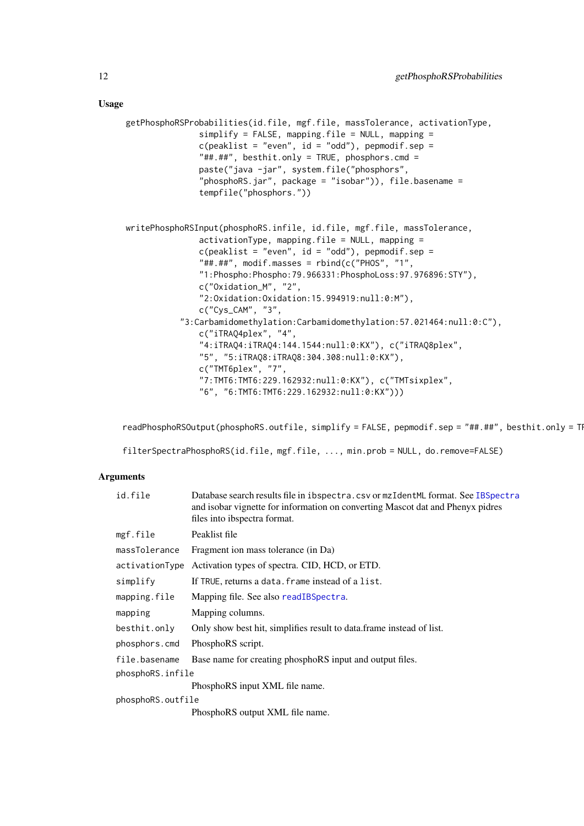```
getPhosphoRSProbabilities(id.file, mgf.file, massTolerance, activationType,
               simplify = FALSE, mapping.file = NULL, mapping =c(\text{peaklist} = "even", id = "odd"), \text{pepmodi}f.\text{sep} ="##.##", besthit.only = TRUE, phosphors.cmd =
               paste("java -jar", system.file("phosphors",
               "phosphoRS.jar", package = "isobar")), file.basename =
               tempfile("phosphors."))
writePhosphoRSInput(phosphoRS.infile, id.file, mgf.file, massTolerance,
               activationType, mapping.file = NULL, mapping =
               c(\text{peaklist} = "even", id = "odd"), \text{pepmodif}.\text{sep} ="####," modif.masses = rbind(c("PHOS", "1",
               "1:Phospho:Phospho:79.966331:PhosphoLoss:97.976896:STY"),
               c("Oxidation_M", "2",
               "2:Oxidation:Oxidation:15.994919:null:0:M"),
               c("Cys_CAM", "3",
            "3:Carbamidomethylation:Carbamidomethylation:57.021464:null:0:C"),
               c("iTRAQ4plex", "4",
               "4:iTRAQ4:iTRAQ4:144.1544:null:0:KX"), c("iTRAQ8plex",
               "5", "5:iTRAQ8:iTRAQ8:304.308:null:0:KX"),
               c("TMT6plex", "7",
               "7:TMT6:TMT6:229.162932:null:0:KX"), c("TMTsixplex",
               "6", "6:TMT6:TMT6:229.162932:null:0:KX")))
```
readPhosphoRSOutput(phosphoRS.outfile, simplify = FALSE, pepmodif.sep = "##.##", besthit.only = TI

filterSpectraPhosphoRS(id.file, mgf.file, ..., min.prob = NULL, do.remove=FALSE)

| id.file           | Database search results file in ibspectra.csv or mzIdentML format. See IBSpectra<br>and isobar vignette for information on converting Mascot dat and Phenyx pidres<br>files into ibspectra format. |
|-------------------|----------------------------------------------------------------------------------------------------------------------------------------------------------------------------------------------------|
| mgf.file          | Peaklist file                                                                                                                                                                                      |
| massTolerance     | Fragment ion mass tolerance (in Da)                                                                                                                                                                |
| activationType    | Activation types of spectra. CID, HCD, or ETD.                                                                                                                                                     |
| simplify          | If TRUE, returns a data. frame instead of a list.                                                                                                                                                  |
| mapping.file      | Mapping file. See also readIBSpectra.                                                                                                                                                              |
| mapping           | Mapping columns.                                                                                                                                                                                   |
| besthit.only      | Only show best hit, simplifies result to data frame instead of list.                                                                                                                               |
| phosphors.cmd     | PhosphoRS script.                                                                                                                                                                                  |
| file.basename     | Base name for creating phosphoRS input and output files.                                                                                                                                           |
| phosphoRS.infile  |                                                                                                                                                                                                    |
|                   | PhosphoRS input XML file name.                                                                                                                                                                     |
| phosphoRS.outfile |                                                                                                                                                                                                    |
|                   | PhosphoRS output XML file name.                                                                                                                                                                    |
|                   |                                                                                                                                                                                                    |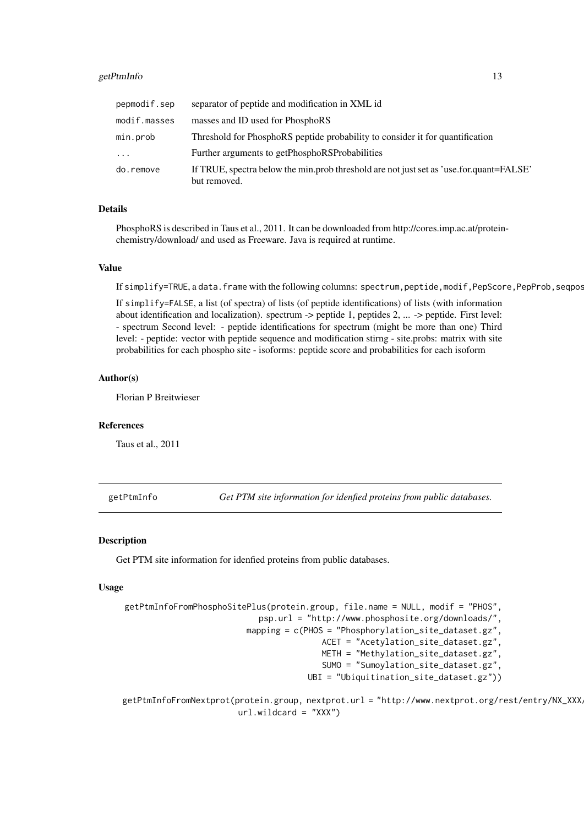#### <span id="page-12-0"></span>getPtmInfo 13

| pepmodif.sep | separator of peptide and modification in XML id                                                         |
|--------------|---------------------------------------------------------------------------------------------------------|
| modif.masses | masses and ID used for PhosphoRS                                                                        |
| min.prob     | Threshold for PhosphoRS peptide probability to consider it for quantification                           |
| $\cdots$     | Further arguments to getPhosphoRSProbabilities                                                          |
| do.remove    | If TRUE, spectra below the min.prob threshold are not just set as 'use.for.quant=FALSE'<br>but removed. |

# Details

PhosphoRS is described in Taus et al., 2011. It can be downloaded from http://cores.imp.ac.at/proteinchemistry/download/ and used as Freeware. Java is required at runtime.

### Value

If simplify=TRUE, a data.frame with the following columns: spectrum,peptide,modif,PepScore,PepProb,seqpos

If simplify=FALSE, a list (of spectra) of lists (of peptide identifications) of lists (with information about identification and localization). spectrum -> peptide 1, peptides 2, ... -> peptide. First level: - spectrum Second level: - peptide identifications for spectrum (might be more than one) Third level: - peptide: vector with peptide sequence and modification stirng - site.probs: matrix with site probabilities for each phospho site - isoforms: peptide score and probabilities for each isoform

#### Author(s)

Florian P Breitwieser

#### References

Taus et al., 2011

getPtmInfo *Get PTM site information for idenfied proteins from public databases.*

#### Description

Get PTM site information for idenfied proteins from public databases.

#### Usage

```
getPtmInfoFromPhosphoSitePlus(protein.group, file.name = NULL, modif = "PHOS",
                           psp.url = "http://www.phosphosite.org/downloads/",
                         mapping = c(PHOS = "Phosphorylation_site_dataset.gz",
                                         ACET = "Acetylation_site_dataset.gz",
                                         METH = "Methylation_site_dataset.gz",
                                         SUMO = "Sumoylation_site_dataset.gz",
                                      UBI = "Ubiquitination_site_dataset.gz"))
```
getPtmInfoFromNextprot(protein.group, nextprot.url = "http://www.nextprot.org/rest/entry/NX\_XXX url.wildcard = "XXX")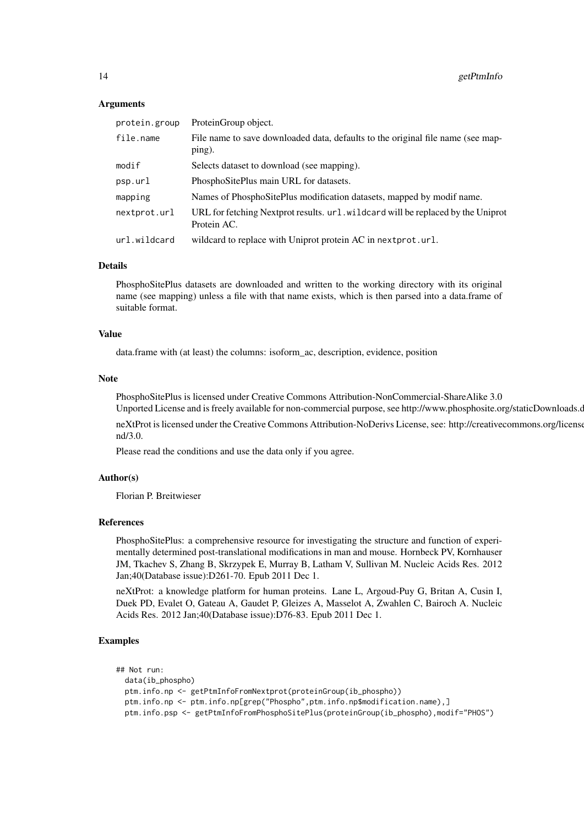#### Arguments

| protein.group | ProteinGroup object.                                                                            |
|---------------|-------------------------------------------------------------------------------------------------|
| file.name     | File name to save downloaded data, defaults to the original file name (see map-<br>ping).       |
| modif         | Selects dataset to download (see mapping).                                                      |
| psp.url       | PhosphoSitePlus main URL for datasets.                                                          |
| mapping       | Names of PhosphoSitePlus modification datasets, mapped by modif name.                           |
| nextprot.url  | URL for fetching Nextprot results. url. wildcard will be replaced by the Uniprot<br>Protein AC. |
| url.wildcard  | wildcard to replace with Uniprot protein AC in next prot.url.                                   |

#### Details

PhosphoSitePlus datasets are downloaded and written to the working directory with its original name (see mapping) unless a file with that name exists, which is then parsed into a data.frame of suitable format.

#### Value

data.frame with (at least) the columns: isoform\_ac, description, evidence, position

#### Note

PhosphoSitePlus is licensed under Creative Commons Attribution-NonCommercial-ShareAlike 3.0

Unported License and is freely available for non-commercial purpose, see http://www.phosphosite.org/staticDownloads.c neXtProt is licensed under the Creative Commons Attribution-NoDerivs License, see: http://creativecommons.org/license nd/3.0.

Please read the conditions and use the data only if you agree.

#### Author(s)

Florian P. Breitwieser

#### References

PhosphoSitePlus: a comprehensive resource for investigating the structure and function of experimentally determined post-translational modifications in man and mouse. Hornbeck PV, Kornhauser JM, Tkachev S, Zhang B, Skrzypek E, Murray B, Latham V, Sullivan M. Nucleic Acids Res. 2012 Jan;40(Database issue):D261-70. Epub 2011 Dec 1.

neXtProt: a knowledge platform for human proteins. Lane L, Argoud-Puy G, Britan A, Cusin I, Duek PD, Evalet O, Gateau A, Gaudet P, Gleizes A, Masselot A, Zwahlen C, Bairoch A. Nucleic Acids Res. 2012 Jan;40(Database issue):D76-83. Epub 2011 Dec 1.

### Examples

```
## Not run:
  data(ib_phospho)
  ptm.info.np <- getPtmInfoFromNextprot(proteinGroup(ib_phospho))
  ptm.info.np <- ptm.info.np[grep("Phospho",ptm.info.np$modification.name),]
  ptm.info.psp <- getPtmInfoFromPhosphoSitePlus(proteinGroup(ib_phospho),modif="PHOS")
```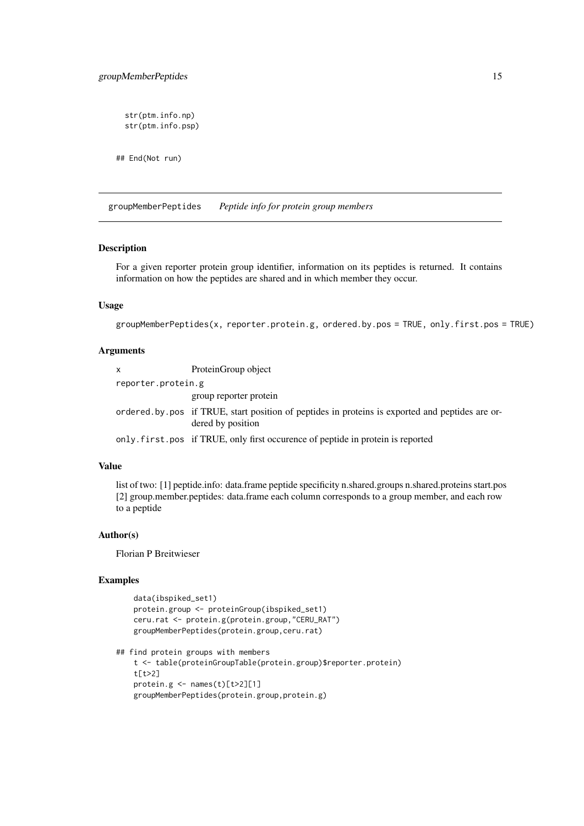```
str(ptm.info.np)
str(ptm.info.psp)
```
## End(Not run)

groupMemberPeptides *Peptide info for protein group members*

# Description

For a given reporter protein group identifier, information on its peptides is returned. It contains information on how the peptides are shared and in which member they occur.

# Usage

```
groupMemberPeptides(x, reporter.protein.g, ordered.by.pos = TRUE, only.first.pos = TRUE)
```
# Arguments

| x                  | ProteinGroup object                                                                                                  |
|--------------------|----------------------------------------------------------------------------------------------------------------------|
| reporter.protein.g |                                                                                                                      |
|                    | group reporter protein                                                                                               |
|                    | ordered by pos if TRUE, start position of peptides in proteins is exported and peptides are or-<br>dered by position |
|                    | only, first, pos if TRUE, only first occurence of peptide in protein is reported                                     |

# Value

list of two: [1] peptide.info: data.frame peptide specificity n.shared.groups n.shared.proteins start.pos [2] group.member.peptides: data.frame each column corresponds to a group member, and each row to a peptide

# Author(s)

Florian P Breitwieser

#### Examples

```
data(ibspiked_set1)
protein.group <- proteinGroup(ibspiked_set1)
ceru.rat <- protein.g(protein.group,"CERU_RAT")
groupMemberPeptides(protein.group,ceru.rat)
```

```
## find protein groups with members
   t <- table(proteinGroupTable(protein.group)$reporter.protein)
   t[t>2]
   protein.g < - names(t)[t>2][1]groupMemberPeptides(protein.group,protein.g)
```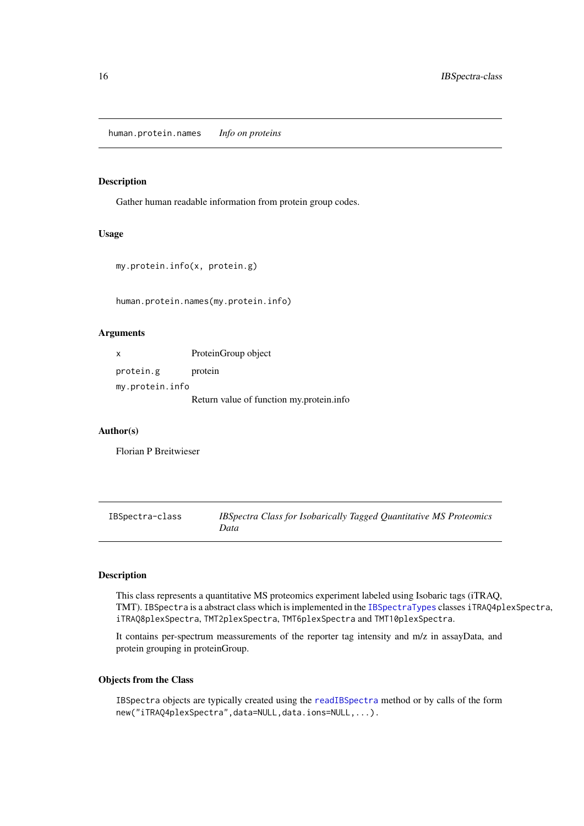<span id="page-15-0"></span>human.protein.names *Info on proteins*

# Description

Gather human readable information from protein group codes.

# Usage

```
my.protein.info(x, protein.g)
```
human.protein.names(my.protein.info)

#### Arguments

| X               | ProteinGroup object                      |
|-----------------|------------------------------------------|
| protein.g       | protein                                  |
| my.protein.info |                                          |
|                 | Return value of function my.protein.info |

#### Author(s)

Florian P Breitwieser

IBSpectra-class *IBSpectra Class for Isobarically Tagged Quantitative MS Proteomics Data*

# <span id="page-15-1"></span>Description

This class represents a quantitative MS proteomics experiment labeled using Isobaric tags (iTRAQ, TMT). IBSpectra is a abstract class which is implemented in the [IBSpectraTypes](#page-15-1) classes iTRAQ4plexSpectra, iTRAQ8plexSpectra, TMT2plexSpectra, TMT6plexSpectra and TMT10plexSpectra.

It contains per-spectrum meassurements of the reporter tag intensity and m/z in assayData, and protein grouping in proteinGroup.

# Objects from the Class

IBSpectra objects are typically created using the [readIBSpectra](#page-22-1) method or by calls of the form new("iTRAQ4plexSpectra",data=NULL,data.ions=NULL,...).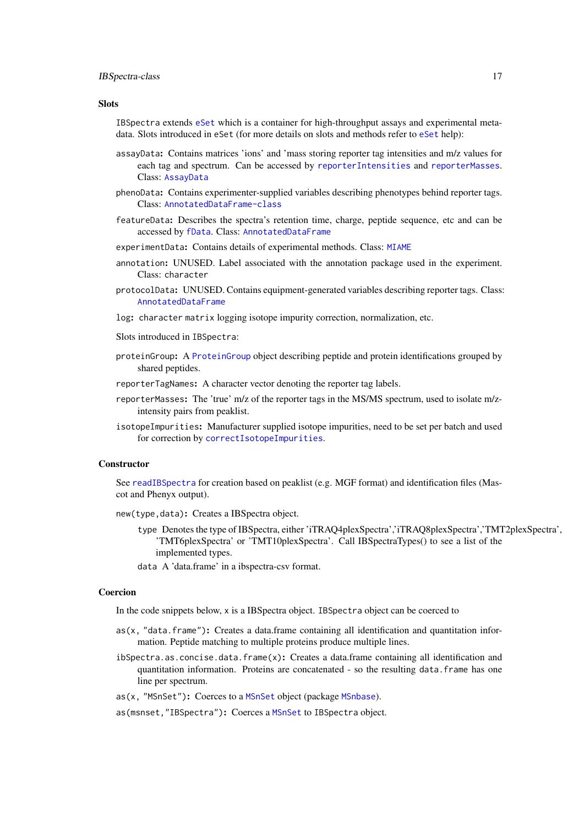#### <span id="page-16-0"></span>IBSpectra-class 17

#### Slots

IBSpectra extends [eSet](#page-0-0) which is a container for high-throughput assays and experimental metadata. Slots introduced in eSet (for more details on slots and methods refer to [eSet](#page-0-0) help):

- assayData: Contains matrices 'ions' and 'mass storing reporter tag intensities and m/z values for each tag and spectrum. Can be accessed by [reporterIntensities](#page-15-1) and [reporterMasses](#page-15-1). Class: [AssayData](#page-0-0)
- phenoData: Contains experimenter-supplied variables describing phenotypes behind reporter tags. Class: [AnnotatedDataFrame-class](#page-0-0)
- featureData: Describes the spectra's retention time, charge, peptide sequence, etc and can be accessed by [fData](#page-0-0). Class: [AnnotatedDataFrame](#page-0-0)
- experimentData: Contains details of experimental methods. Class: [MIAME](#page-0-0)
- annotation: UNUSED. Label associated with the annotation package used in the experiment. Class: character
- protocolData: UNUSED. Contains equipment-generated variables describing reporter tags. Class: [AnnotatedDataFrame](#page-0-0)
- log: character matrix logging isotope impurity correction, normalization, etc.
- Slots introduced in IBSpectra:
- proteinGroup: A [ProteinGroup](#page-36-1) object describing peptide and protein identifications grouped by shared peptides.
- reporterTagNames: A character vector denoting the reporter tag labels.
- reporterMasses: The 'true' m/z of the reporter tags in the MS/MS spectrum, used to isolate m/zintensity pairs from peaklist.
- isotopeImpurities: Manufacturer supplied isotope impurities, need to be set per batch and used for correction by [correctIsotopeImpurities](#page-25-1).

#### Constructor

See [readIBSpectra](#page-22-1) for creation based on peaklist (e.g. MGF format) and identification files (Mascot and Phenyx output).

new(type,data): Creates a IBSpectra object.

- type Denotes the type of IBSpectra, either 'iTRAQ4plexSpectra','iTRAQ8plexSpectra','TMT2plexSpectra', 'TMT6plexSpectra' or 'TMT10plexSpectra'. Call IBSpectraTypes() to see a list of the implemented types.
- data A 'data.frame' in a ibspectra-csv format.

#### Coercion

In the code snippets below, x is a IBSpectra object. IBSpectra object can be coerced to

- $aS(x, 'data.fname'')$ : Creates a data.frame containing all identification and quantitation information. Peptide matching to multiple proteins produce multiple lines.
- ibSpectra.as.concise.data.frame(x): Creates a data.frame containing all identification and quantitation information. Proteins are concatenated - so the resulting data.frame has one line per spectrum.
- as(x, "MSnSet"): Coerces to a [MSnSet](#page-0-0) object (package [MSnbase](#page-0-0)).

as(msnset,"IBSpectra"): Coerces a [MSnSet](#page-0-0) to IBSpectra object.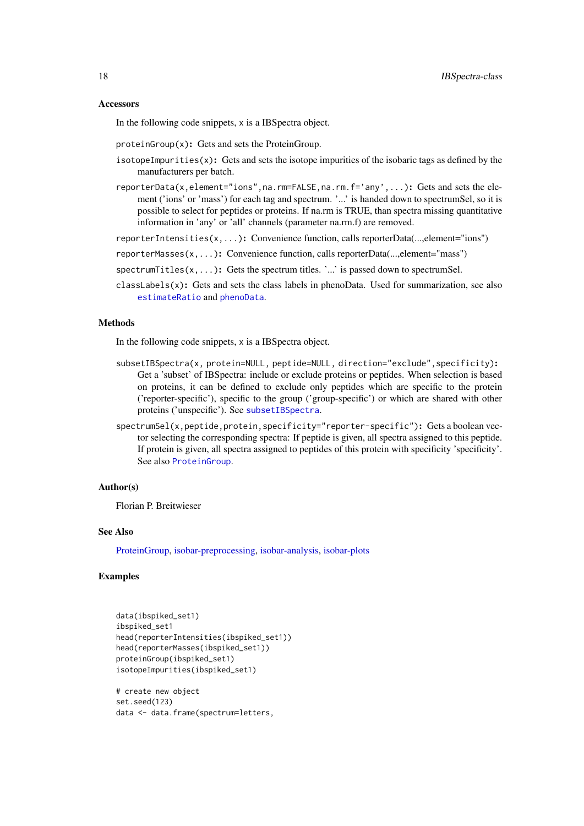#### Accessors

In the following code snippets, x is a IBSpectra object.

proteinGroup(x): Gets and sets the ProteinGroup.

- isotopeImpurities(x): Gets and sets the isotope impurities of the isobaric tags as defined by the manufacturers per batch.
- reporterData(x,element="ions",na.rm=FALSE,na.rm.f='any',...): Gets and sets the element ('ions' or 'mass') for each tag and spectrum. '...' is handed down to spectrumSel, so it is possible to select for peptides or proteins. If na.rm is TRUE, than spectra missing quantitative information in 'any' or 'all' channels (parameter na.rm.f) are removed.
- reporterIntensities(x,...): Convenience function, calls reporterData(...,element="ions")
- reporterMasses(x,...): Convenience function, calls reporterData(...,element="mass")
- spectrum Titles $(x, \ldots)$ : Gets the spectrum titles. '...' is passed down to spectrum Sel.
- $classLabels(x)$ : Gets and sets the class labels in phenoData. Used for summarization, see also [estimateRatio](#page-19-1) and [phenoData](#page-0-0).

#### Methods

In the following code snippets, x is a IBSpectra object.

- subsetIBSpectra(x, protein=NULL, peptide=NULL, direction="exclude", specificity): Get a 'subset' of IBSpectra: include or exclude proteins or peptides. When selection is based on proteins, it can be defined to exclude only peptides which are specific to the protein ('reporter-specific'), specific to the group ('group-specific') or which are shared with other proteins ('unspecific'). See [subsetIBSpectra](#page-45-1).
- spectrumSel(x,peptide,protein,specificity="reporter-specific"): Gets a boolean vector selecting the corresponding spectra: If peptide is given, all spectra assigned to this peptide. If protein is given, all spectra assigned to peptides of this protein with specificity 'specificity'. See also [ProteinGroup](#page-36-1).

# Author(s)

Florian P. Breitwieser

# See Also

[ProteinGroup,](#page-36-1) [isobar-preprocessing,](#page-25-2) [isobar-analysis,](#page-19-2) [isobar-plots](#page-24-1)

# Examples

```
data(ibspiked_set1)
ibspiked_set1
head(reporterIntensities(ibspiked_set1))
head(reporterMasses(ibspiked_set1))
proteinGroup(ibspiked_set1)
isotopeImpurities(ibspiked_set1)
# create new object
set.seed(123)
```

```
data <- data.frame(spectrum=letters,
```
<span id="page-17-0"></span>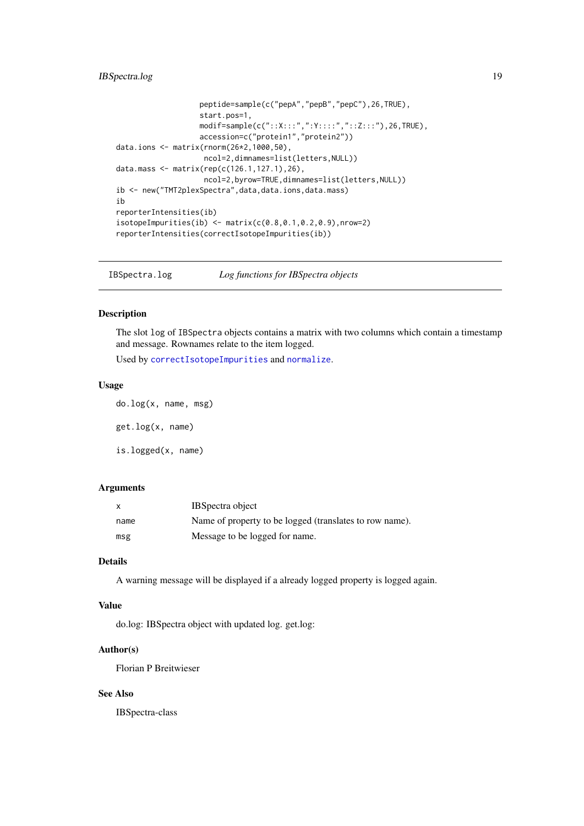# <span id="page-18-0"></span>IBSpectra.log 19

```
peptide=sample(c("pepA","pepB","pepC"),26,TRUE),
                   start.pos=1,
                   modif=sample(c("::X:::",":Y::::","::Z:::"),26,TRUE),
                   accession=c("protein1","protein2"))
data.ions <- matrix(rnorm(26*2,1000,50),
                    ncol=2,dimnames=list(letters,NULL))
data.mass <- matrix(rep(c(126.1,127.1),26),
                    ncol=2,byrow=TRUE,dimnames=list(letters,NULL))
ib <- new("TMT2plexSpectra",data,data.ions,data.mass)
ib
reporterIntensities(ib)
isotopeImpurities(ib) < - matrix(c(0.8, 0.1, 0.2, 0.9), nrow=2)reporterIntensities(correctIsotopeImpurities(ib))
```
IBSpectra.log *Log functions for IBSpectra objects*

#### Description

The slot log of IBSpectra objects contains a matrix with two columns which contain a timestamp and message. Rownames relate to the item logged.

Used by [correctIsotopeImpurities](#page-25-1) and [normalize](#page-25-1).

#### Usage

do.log(x, name, msg) get.log(x, name) is.logged(x, name)

# Arguments

| X    | IBS pectra object                                       |
|------|---------------------------------------------------------|
| name | Name of property to be logged (translates to row name). |
| msg  | Message to be logged for name.                          |

#### Details

A warning message will be displayed if a already logged property is logged again.

# Value

do.log: IBSpectra object with updated log. get.log:

### Author(s)

Florian P Breitwieser

# See Also

IBSpectra-class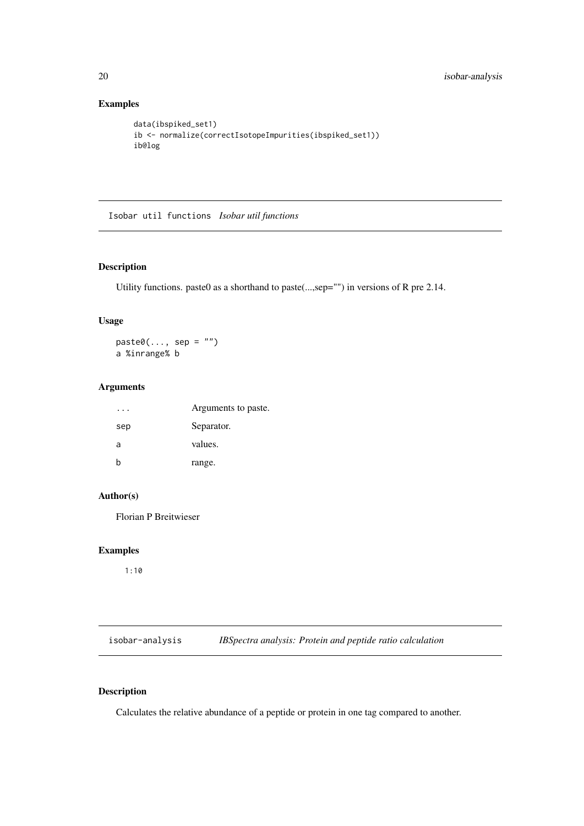# Examples

```
data(ibspiked_set1)
ib <- normalize(correctIsotopeImpurities(ibspiked_set1))
ib@log
```
Isobar util functions *Isobar util functions*

# Description

Utility functions. paste0 as a shorthand to paste(...,sep="") in versions of R pre 2.14.

# Usage

 $past<sup>0</sup>(..., sep = "")$ a %inrange% b

# Arguments

|     | Arguments to paste. |
|-----|---------------------|
| sep | Separator.          |
| a   | values.             |
| h   | range.              |
|     |                     |

# Author(s)

Florian P Breitwieser

# Examples

1:10

<span id="page-19-2"></span>isobar-analysis *IBSpectra analysis: Protein and peptide ratio calculation*

# <span id="page-19-1"></span>Description

Calculates the relative abundance of a peptide or protein in one tag compared to another.

<span id="page-19-0"></span>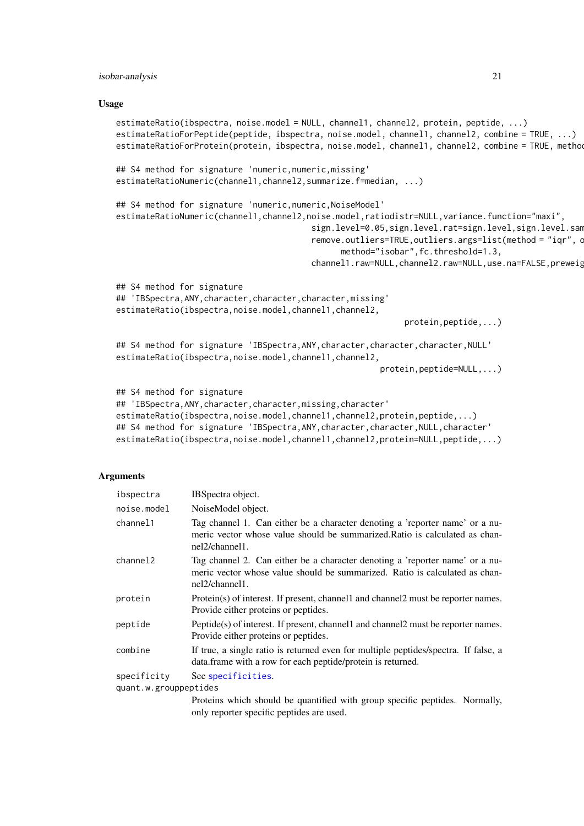#### <span id="page-20-0"></span>isobar-analysis 21

#### Usage

```
estimateRatio(ibspectra, noise.model = NULL, channel1, channel2, protein, peptide, ...)
estimateRatioForPeptide(peptide, ibspectra, noise.model, channel1, channel2, combine = TRUE, ...)
estimateRatioForProtein(protein, ibspectra, noise.model, channel1, channel2, combine = TRUE, metho
## S4 method for signature 'numeric,numeric,missing'
estimateRatioNumeric(channel1,channel2,summarize.f=median, ...)
## S4 method for signature 'numeric,numeric,NoiseModel'
estimateRatioNumeric(channel1,channel2,noise.model,ratiodistr=NULL,variance.function="maxi",
                                         sign.level=0.05,sign.level.rat=sign.level,sign.level.sam
                                         remove.outliers=TRUE, outliers.args=list(method = "iqr", outliers=
                                               method="isobar",fc.threshold=1.3,
                                         channel1.raw=NULL,channel2.raw=NULL,use.na=FALSE,preweig
## S4 method for signature
## 'IBSpectra, ANY, character, character, character, missing'
estimateRatio(ibspectra,noise.model,channel1,channel2,
                                                             protein,peptide,...)
## S4 method for signature 'IBSpectra, ANY, character, character, character, NULL'
estimateRatio(ibspectra,noise.model,channel1,channel2,
                                                        protein,peptide=NULL,...)
## S4 method for signature
## 'IBSpectra,ANY,character,character,missing,character'
estimateRatio(ibspectra,noise.model,channel1,channel2,protein,peptide,...)
## S4 method for signature 'IBSpectra, ANY, character, character, NULL, character'
estimateRatio(ibspectra,noise.model,channel1,channel2,protein=NULL,peptide,...)
```
#### Arguments

| ibspectra             | IBSpectra object.                                                                                                                                                                |
|-----------------------|----------------------------------------------------------------------------------------------------------------------------------------------------------------------------------|
| noise.model           | NoiseModel object.                                                                                                                                                               |
| channel1              | Tag channel 1. Can either be a character denoting a 'reporter name' or a nu-<br>meric vector whose value should be summarized. Ratio is calculated as chan-<br>$nel2/channel1$ . |
| channel <sub>2</sub>  | Tag channel 2. Can either be a character denoting a 'reporter name' or a nu-<br>meric vector whose value should be summarized. Ratio is calculated as chan-<br>nel2/channel1.    |
| protein               | Protein(s) of interest. If present, channell and channel2 must be reporter names.<br>Provide either proteins or peptides.                                                        |
| peptide               | Peptide(s) of interest. If present, channell and channell must be reporter names.<br>Provide either proteins or peptides.                                                        |
| combine               | If true, a single ratio is returned even for multiple peptides/spectra. If false, a<br>data. frame with a row for each peptide/protein is returned.                              |
| specificity           | See specificities.                                                                                                                                                               |
| quant.w.grouppeptides |                                                                                                                                                                                  |
|                       | Dependence which should be quantified with over specific negation. More ally                                                                                                     |

Proteins which should be quantified with group specific peptides. Normally, only reporter specific peptides are used.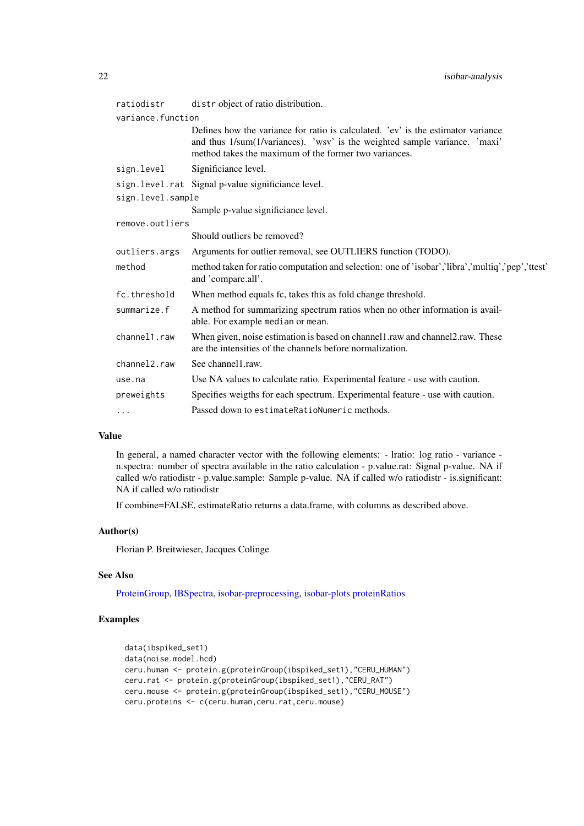| distr object of ratio distribution.                                                                                                                                                                                     |
|-------------------------------------------------------------------------------------------------------------------------------------------------------------------------------------------------------------------------|
| variance.function                                                                                                                                                                                                       |
| Defines how the variance for ratio is calculated. 'ev' is the estimator variance<br>and thus 1/sum(1/variances). 'wsv' is the weighted sample variance. 'maxi'<br>method takes the maximum of the former two variances. |
| Significiance level.                                                                                                                                                                                                    |
| sign.level.rat Signal p-value significiance level.                                                                                                                                                                      |
| sign.level.sample                                                                                                                                                                                                       |
| Sample p-value significiance level.                                                                                                                                                                                     |
| remove.outliers                                                                                                                                                                                                         |
| Should outliers be removed?                                                                                                                                                                                             |
| Arguments for outlier removal, see OUTLIERS function (TODO).                                                                                                                                                            |
| method taken for ratio computation and selection: one of 'isobar','libra','multiq','pep','ttest'<br>and 'compare.all'.                                                                                                  |
| When method equals fc, takes this as fold change threshold.                                                                                                                                                             |
| A method for summarizing spectrum ratios when no other information is avail-<br>able. For example median or mean.                                                                                                       |
| When given, noise estimation is based on channel1.raw and channel2.raw. These<br>are the intensities of the channels before normalization.                                                                              |
| See channel1.raw.                                                                                                                                                                                                       |
| Use NA values to calculate ratio. Experimental feature - use with caution.                                                                                                                                              |
| Specifies weigths for each spectrum. Experimental feature - use with caution.                                                                                                                                           |
| Passed down to estimate RatioNumeric methods.                                                                                                                                                                           |
|                                                                                                                                                                                                                         |

# Value

In general, a named character vector with the following elements: - lratio: log ratio - variance n.spectra: number of spectra available in the ratio calculation - p.value.rat: Signal p-value. NA if called w/o ratiodistr - p.value.sample: Sample p-value. NA if called w/o ratiodistr - is.significant: NA if called w/o ratiodistr

If combine=FALSE, estimateRatio returns a data.frame, with columns as described above.

# Author(s)

Florian P. Breitwieser, Jacques Colinge

# See Also

[ProteinGroup,](#page-36-1) [IBSpectra,](#page-15-1) [isobar-preprocessing,](#page-25-2) [isobar-plots](#page-24-1) [proteinRatios](#page-33-1)

# Examples

```
data(ibspiked_set1)
data(noise.model.hcd)
ceru.human <- protein.g(proteinGroup(ibspiked_set1),"CERU_HUMAN")
ceru.rat <- protein.g(proteinGroup(ibspiked_set1),"CERU_RAT")
ceru.mouse <- protein.g(proteinGroup(ibspiked_set1),"CERU_MOUSE")
ceru.proteins <- c(ceru.human,ceru.rat,ceru.mouse)
```
<span id="page-21-0"></span>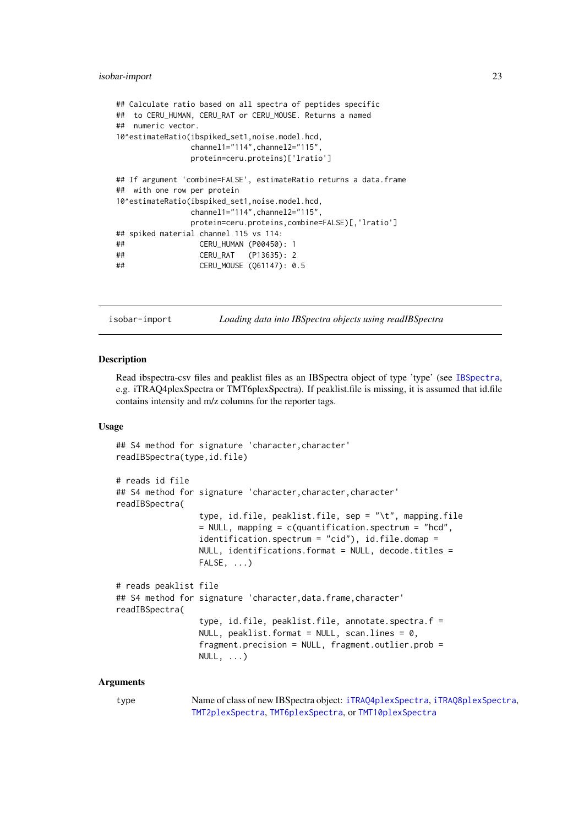#### <span id="page-22-0"></span>isobar-import 23

```
## Calculate ratio based on all spectra of peptides specific
## to CERU_HUMAN, CERU_RAT or CERU_MOUSE. Returns a named
## numeric vector.
10^estimateRatio(ibspiked_set1,noise.model.hcd,
               channel1="114",channel2="115",
               protein=ceru.proteins)['lratio']
## If argument 'combine=FALSE', estimateRatio returns a data.frame
## with one row per protein
10^estimateRatio(ibspiked_set1,noise.model.hcd,
               channel1="114",channel2="115",
               protein=ceru.proteins,combine=FALSE)[,'lratio']
## spiked material channel 115 vs 114:
## CERU_HUMAN (P00450): 1
## CERU_RAT (P13635): 2
## CERU_MOUSE (Q61147): 0.5
```
isobar-import *Loading data into IBSpectra objects using readIBSpectra*

#### <span id="page-22-1"></span>Description

Read ibspectra-csv files and peaklist files as an IBSpectra object of type 'type' (see [IBSpectra](#page-15-1), e.g. iTRAQ4plexSpectra or TMT6plexSpectra). If peaklist.file is missing, it is assumed that id.file contains intensity and m/z columns for the reporter tags.

# Usage

```
## S4 method for signature 'character, character'
readIBSpectra(type,id.file)
# reads id file
## S4 method for signature 'character, character, character'
readIBSpectra(
                 type, id.file, peaklist.file, sep = "\t", mapping.file
                 = NULL, mapping = c(quantification.spectrum = "hcd",
                 identification.spectrum = "cid"), id.file.domap =
                 NULL, identifications.format = NULL, decode.titles =
                 FALSE, ...)
# reads peaklist file
## S4 method for signature 'character, data.frame, character'
readIBSpectra(
                 type, id.file, peaklist.file, annotate.spectra.f =
                 NULL, peaklist.format = NULL, scan.lines = 0,
                 fragment.precision = NULL, fragment.outlier.prob =
                 NULL, \ldots)
```
#### Arguments

type Name of class of new IBSpectra object: [iTRAQ4plexSpectra](#page-15-1), [iTRAQ8plexSpectra](#page-15-1), [TMT2plexSpectra](#page-15-1), [TMT6plexSpectra](#page-15-1), or [TMT10plexSpectra](#page-15-1)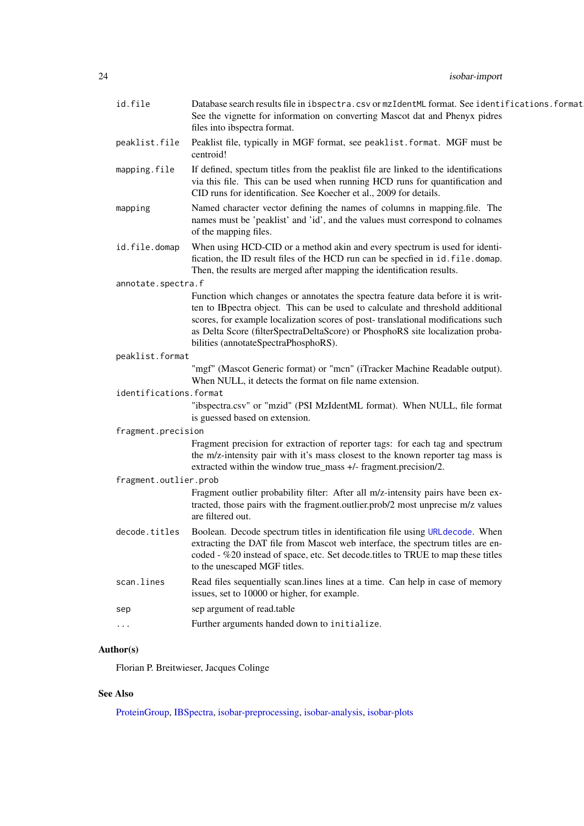<span id="page-23-0"></span>

| id.file                | Database search results file in ibspectra.csv or mzIdentML format. See identifications.format<br>See the vignette for information on converting Mascot dat and Phenyx pidres<br>files into ibspectra format.                                                                                                                                                                    |
|------------------------|---------------------------------------------------------------------------------------------------------------------------------------------------------------------------------------------------------------------------------------------------------------------------------------------------------------------------------------------------------------------------------|
| peaklist.file          | Peaklist file, typically in MGF format, see peaklist. format. MGF must be<br>centroid!                                                                                                                                                                                                                                                                                          |
| mapping.file           | If defined, spectum titles from the peaklist file are linked to the identifications<br>via this file. This can be used when running HCD runs for quantification and<br>CID runs for identification. See Koecher et al., 2009 for details.                                                                                                                                       |
| mapping                | Named character vector defining the names of columns in mapping.file. The<br>names must be 'peaklist' and 'id', and the values must correspond to colnames<br>of the mapping files.                                                                                                                                                                                             |
| id.file.domap          | When using HCD-CID or a method akin and every spectrum is used for identi-<br>fication, the ID result files of the HCD run can be specfied in id. file. domap.<br>Then, the results are merged after mapping the identification results.                                                                                                                                        |
| annotate.spectra.f     |                                                                                                                                                                                                                                                                                                                                                                                 |
|                        | Function which changes or annotates the spectra feature data before it is writ-<br>ten to IBpectra object. This can be used to calculate and threshold additional<br>scores, for example localization scores of post-translational modifications such<br>as Delta Score (filterSpectraDeltaScore) or PhosphoRS site localization proba-<br>bilities (annotateSpectraPhosphoRS). |
| peaklist.format        |                                                                                                                                                                                                                                                                                                                                                                                 |
|                        | "mgf" (Mascot Generic format) or "mcn" (iTracker Machine Readable output).<br>When NULL, it detects the format on file name extension.                                                                                                                                                                                                                                          |
| identifications.format |                                                                                                                                                                                                                                                                                                                                                                                 |
|                        | "ibspectra.csv" or "mzid" (PSI MzIdentML format). When NULL, file format<br>is guessed based on extension.                                                                                                                                                                                                                                                                      |
| fragment.precision     |                                                                                                                                                                                                                                                                                                                                                                                 |
|                        | Fragment precision for extraction of reporter tags: for each tag and spectrum<br>the m/z-intensity pair with it's mass closest to the known reporter tag mass is<br>extracted within the window true_mass +/- fragment.precision/2.                                                                                                                                             |
| fragment.outlier.prob  |                                                                                                                                                                                                                                                                                                                                                                                 |
|                        | Fragment outlier probability filter: After all m/z-intensity pairs have been ex-<br>tracted, those pairs with the fragment.outlier.prob/2 most unprecise m/z values<br>are filtered out.                                                                                                                                                                                        |
| decode.titles          | Boolean. Decode spectrum titles in identification file using URL decode. When<br>extracting the DAT file from Mascot web interface, the spectrum titles are en-<br>coded - %20 instead of space, etc. Set decode titles to TRUE to map these titles<br>to the unescaped MGF titles.                                                                                             |
| scan.lines             | Read files sequentially scan.lines lines at a time. Can help in case of memory<br>issues, set to 10000 or higher, for example.                                                                                                                                                                                                                                                  |
| sep                    | sep argument of read.table                                                                                                                                                                                                                                                                                                                                                      |
| .                      | Further arguments handed down to initialize.                                                                                                                                                                                                                                                                                                                                    |
|                        |                                                                                                                                                                                                                                                                                                                                                                                 |

# Author(s)

Florian P. Breitwieser, Jacques Colinge

# See Also

[ProteinGroup,](#page-36-1) [IBSpectra,](#page-15-1) [isobar-preprocessing,](#page-25-2) [isobar-analysis,](#page-19-2) [isobar-plots](#page-24-1)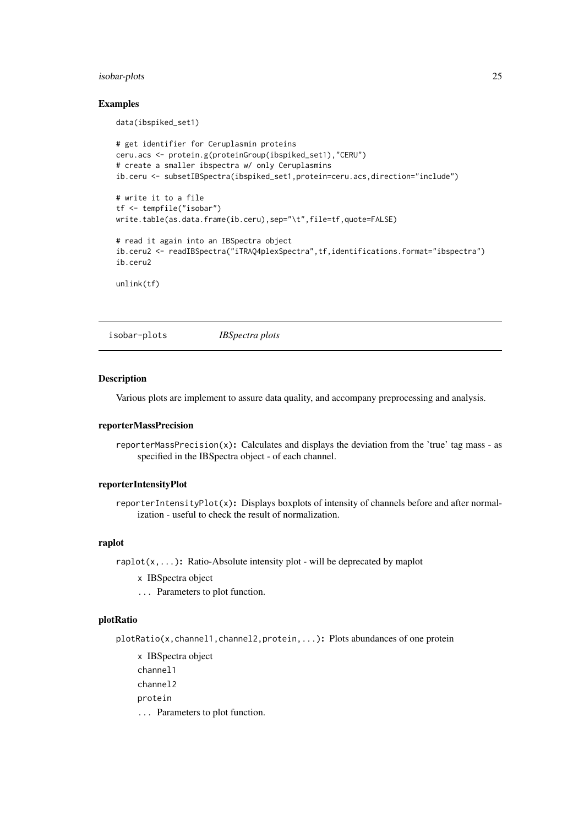#### <span id="page-24-0"></span>isobar-plots 25

#### Examples

data(ibspiked\_set1)

```
# get identifier for Ceruplasmin proteins
ceru.acs <- protein.g(proteinGroup(ibspiked_set1),"CERU")
# create a smaller ibspectra w/ only Ceruplasmins
ib.ceru <- subsetIBSpectra(ibspiked_set1,protein=ceru.acs,direction="include")
# write it to a file
tf <- tempfile("isobar")
write.table(as.data.frame(ib.ceru),sep="\t",file=tf,quote=FALSE)
# read it again into an IBSpectra object
ib.ceru2 <- readIBSpectra("iTRAQ4plexSpectra",tf,identifications.format="ibspectra")
ib.ceru2
unlink(tf)
```
<span id="page-24-1"></span>isobar-plots *IBSpectra plots*

#### Description

Various plots are implement to assure data quality, and accompany preprocessing and analysis.

#### reporterMassPrecision

reporterMassPrecision(x): Calculates and displays the deviation from the 'true' tag mass - as specified in the IBSpectra object - of each channel.

#### reporterIntensityPlot

reporterIntensityPlot(x): Displays boxplots of intensity of channels before and after normalization - useful to check the result of normalization.

# raplot

raplot(x,...): Ratio-Absolute intensity plot - will be deprecated by maplot

- x IBSpectra object
- ... Parameters to plot function.

# plotRatio

plotRatio(x,channel1,channel2,protein,...): Plots abundances of one protein

x IBSpectra object channel1 channel2 protein ... Parameters to plot function.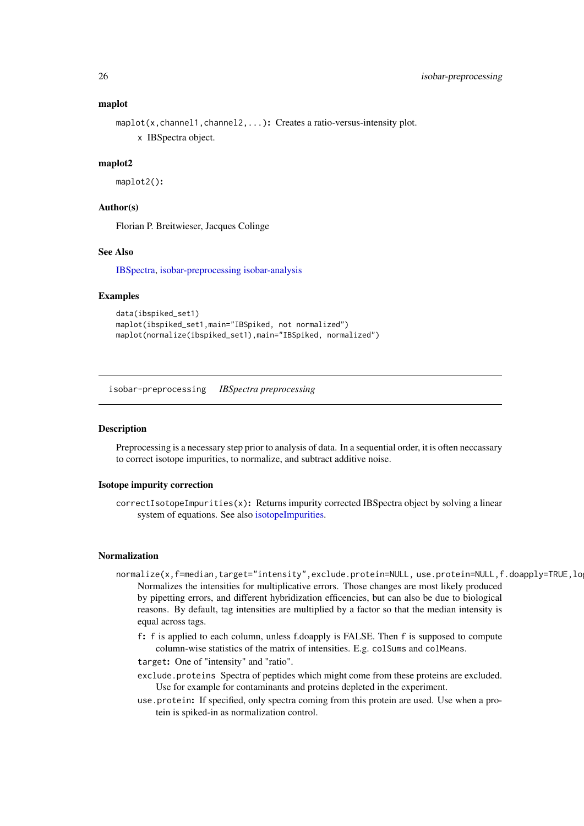### maplot

```
maplot(x, channel1, channel2, ...): Creates a ratio-versus-intensity plot.
     x IBSpectra object.
```
#### maplot2

maplot2():

# Author(s)

Florian P. Breitwieser, Jacques Colinge

# See Also

[IBSpectra,](#page-15-1) [isobar-preprocessing](#page-25-2) [isobar-analysis](#page-19-2)

# Examples

```
data(ibspiked_set1)
maplot(ibspiked_set1,main="IBSpiked, not normalized")
maplot(normalize(ibspiked_set1),main="IBSpiked, normalized")
```
<span id="page-25-2"></span>isobar-preprocessing *IBSpectra preprocessing*

#### <span id="page-25-1"></span>Description

Preprocessing is a necessary step prior to analysis of data. In a sequential order, it is often neccassary to correct isotope impurities, to normalize, and subtract additive noise.

### Isotope impurity correction

correctIsotopeImpurities(x): Returns impurity corrected IBSpectra object by solving a linear system of equations. See also [isotopeImpurities.](#page-15-1)

#### Normalization

- normalize(x,f=median,target="intensity",exclude.protein=NULL, use.protein=NULL,f.doapply=TRUE,lo Normalizes the intensities for multiplicative errors. Those changes are most likely produced by pipetting errors, and different hybridization efficencies, but can also be due to biological reasons. By default, tag intensities are multiplied by a factor so that the median intensity is equal across tags.
	- f: f is applied to each column, unless f.doapply is FALSE. Then f is supposed to compute column-wise statistics of the matrix of intensities. E.g. colSums and colMeans.
	- target: One of "intensity" and "ratio".
	- exclude.proteins Spectra of peptides which might come from these proteins are excluded. Use for example for contaminants and proteins depleted in the experiment.
	- use.protein: If specified, only spectra coming from this protein are used. Use when a protein is spiked-in as normalization control.

<span id="page-25-0"></span>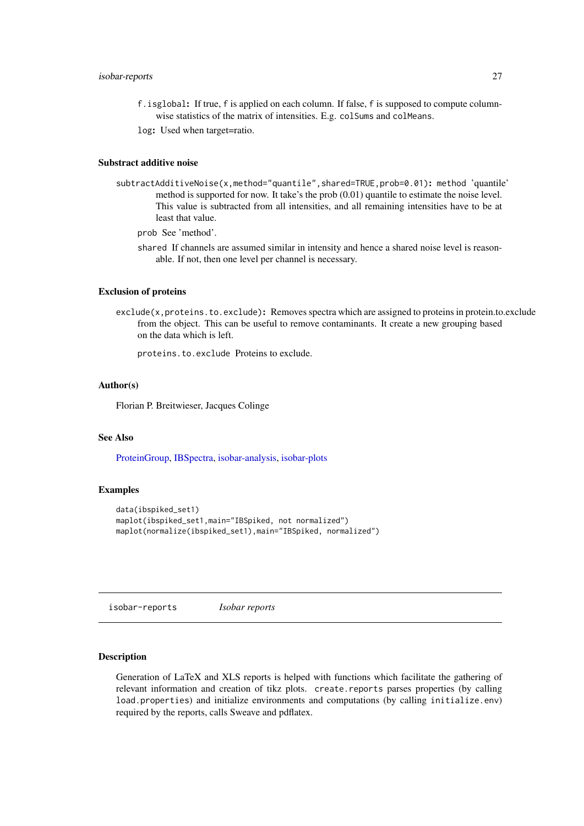#### <span id="page-26-0"></span>isobar-reports 27

f.isglobal: If true, f is applied on each column. If false, f is supposed to compute columnwise statistics of the matrix of intensities. E.g. colSums and colMeans.

log: Used when target=ratio.

### Substract additive noise

subtractAdditiveNoise(x,method="quantile",shared=TRUE,prob=0.01): method 'quantile' method is supported for now. It take's the prob (0.01) quantile to estimate the noise level. This value is subtracted from all intensities, and all remaining intensities have to be at least that value.

prob See 'method'.

shared If channels are assumed similar in intensity and hence a shared noise level is reasonable. If not, then one level per channel is necessary.

#### Exclusion of proteins

exclude(x,proteins.to.exclude): Removes spectra which are assigned to proteins in protein.to.exclude from the object. This can be useful to remove contaminants. It create a new grouping based on the data which is left.

proteins.to.exclude Proteins to exclude.

#### Author(s)

Florian P. Breitwieser, Jacques Colinge

# See Also

[ProteinGroup,](#page-36-1) [IBSpectra,](#page-15-1) [isobar-analysis,](#page-19-2) [isobar-plots](#page-24-1)

# Examples

```
data(ibspiked_set1)
maplot(ibspiked_set1,main="IBSpiked, not normalized")
maplot(normalize(ibspiked_set1),main="IBSpiked, normalized")
```
isobar-reports *Isobar reports*

### <span id="page-26-1"></span>Description

Generation of LaTeX and XLS reports is helped with functions which facilitate the gathering of relevant information and creation of tikz plots. create.reports parses properties (by calling load.properties) and initialize environments and computations (by calling initialize.env) required by the reports, calls Sweave and pdflatex.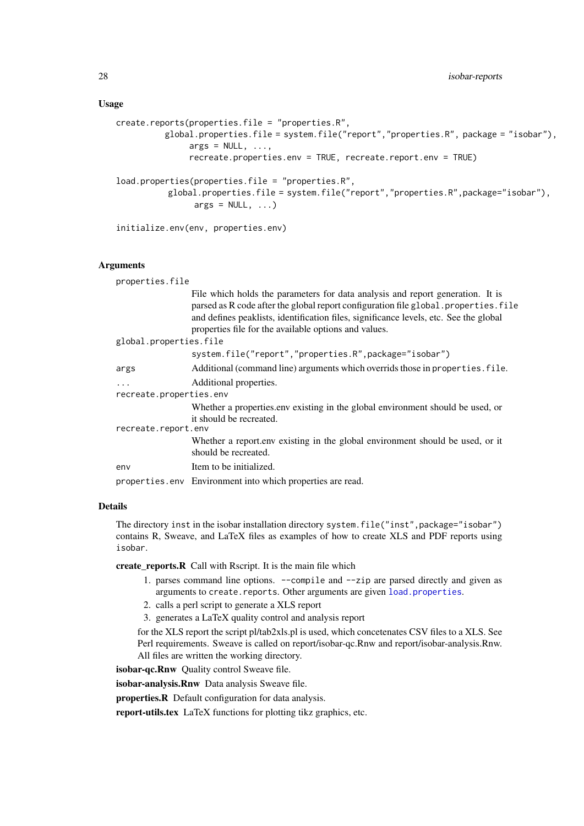# <span id="page-27-0"></span>Usage

```
create.reports(properties.file = "properties.R",
          global.properties.file = system.file("report","properties.R", package = "isobar"),
               args = NULL, ...,recreate.properties.env = TRUE, recreate.report.env = TRUE)
load.properties(properties.file = "properties.R",
          global.properties.file = system.file("report","properties.R",package="isobar"),
                args = NULL, ...)initialize.env(env, properties.env)
```
#### Arguments

| properties.file         |                                                                                                                                                                                                                                                                                                                          |
|-------------------------|--------------------------------------------------------------------------------------------------------------------------------------------------------------------------------------------------------------------------------------------------------------------------------------------------------------------------|
|                         | File which holds the parameters for data analysis and report generation. It is<br>parsed as R code after the global report configuration file global. properties. file<br>and defines peaklists, identification files, significance levels, etc. See the global<br>properties file for the available options and values. |
| global.properties.file  |                                                                                                                                                                                                                                                                                                                          |
|                         | system.file("report","properties.R",package="isobar")                                                                                                                                                                                                                                                                    |
| args                    | Additional (command line) arguments which overrids those in properties. file.                                                                                                                                                                                                                                            |
| $\cdots$                | Additional properties.                                                                                                                                                                                                                                                                                                   |
| recreate.properties.env |                                                                                                                                                                                                                                                                                                                          |
|                         | Whether a properties env existing in the global environment should be used, or<br>it should be recreated.                                                                                                                                                                                                                |
| recreate.report.env     |                                                                                                                                                                                                                                                                                                                          |
|                         | Whether a report env existing in the global environment should be used, or it<br>should be recreated.                                                                                                                                                                                                                    |
| env                     | Item to be initialized.                                                                                                                                                                                                                                                                                                  |
|                         | properties.env Environment into which properties are read.                                                                                                                                                                                                                                                               |

#### Details

The directory inst in the isobar installation directory system.file("inst", package="isobar") contains R, Sweave, and LaTeX files as examples of how to create XLS and PDF reports using isobar.

create\_reports.R Call with Rscript. It is the main file which

- 1. parses command line options. --compile and --zip are parsed directly and given as arguments to create.reports. Other arguments are given [load.properties](#page-26-1).
- 2. calls a perl script to generate a XLS report
- 3. generates a LaTeX quality control and analysis report

for the XLS report the script pl/tab2xls.pl is used, which concetenates CSV files to a XLS. See Perl requirements. Sweave is called on report/isobar-qc.Rnw and report/isobar-analysis.Rnw. All files are written the working directory.

isobar-qc.Rnw Quality control Sweave file.

isobar-analysis.Rnw Data analysis Sweave file.

properties.R Default configuration for data analysis.

report-utils.tex LaTeX functions for plotting tikz graphics, etc.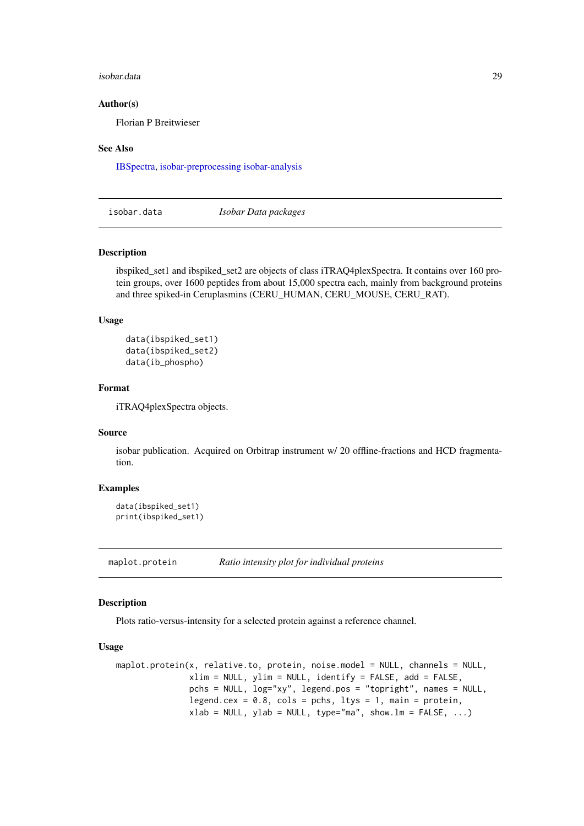#### <span id="page-28-0"></span>isobar.data 29

#### Author(s)

Florian P Breitwieser

#### See Also

[IBSpectra,](#page-15-1) [isobar-preprocessing](#page-25-2) [isobar-analysis](#page-19-2)

isobar.data *Isobar Data packages*

# Description

ibspiked\_set1 and ibspiked\_set2 are objects of class iTRAQ4plexSpectra. It contains over 160 protein groups, over 1600 peptides from about 15,000 spectra each, mainly from background proteins and three spiked-in Ceruplasmins (CERU\_HUMAN, CERU\_MOUSE, CERU\_RAT).

# Usage

```
data(ibspiked_set1)
data(ibspiked_set2)
data(ib_phospho)
```
#### Format

iTRAQ4plexSpectra objects.

#### Source

isobar publication. Acquired on Orbitrap instrument w/ 20 offline-fractions and HCD fragmentation.

### Examples

```
data(ibspiked_set1)
print(ibspiked_set1)
```
maplot.protein *Ratio intensity plot for individual proteins*

#### Description

Plots ratio-versus-intensity for a selected protein against a reference channel.

#### Usage

```
maplot.protein(x, relative.to, protein, noise.model = NULL, channels = NULL,
               xlim = NULL, ylim = NULL, identify = FALSE, add = FALSE,
               pchs = NULL, log="xy", legend.pos = "topright", names = NULL,
               legend.cex = 0.8, cols = pchs, ltys = 1, main = protein,
               xlab = NULL, ylab = NULL, type="ma", show.lm = FALSE, ...)
```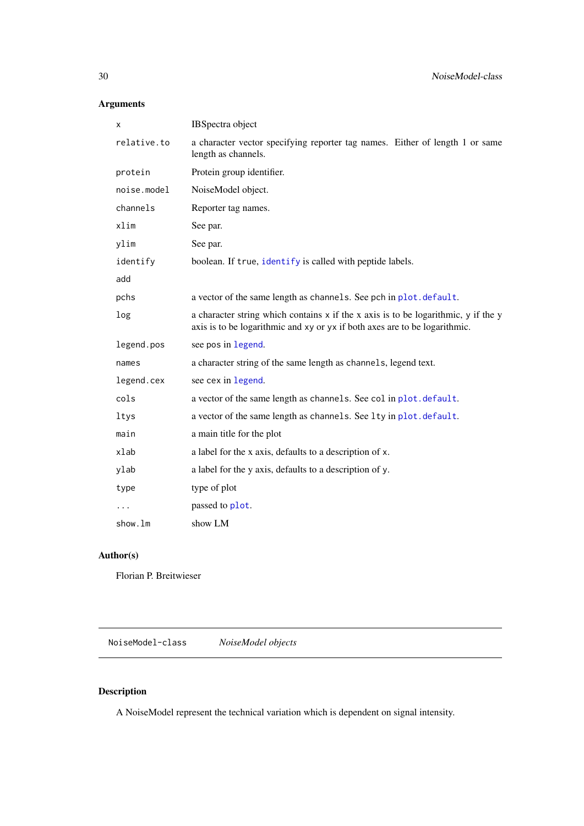# <span id="page-29-0"></span>Arguments

| Χ           | IBSpectra object                                                                                                                                                 |
|-------------|------------------------------------------------------------------------------------------------------------------------------------------------------------------|
| relative.to | a character vector specifying reporter tag names. Either of length 1 or same<br>length as channels.                                                              |
| protein     | Protein group identifier.                                                                                                                                        |
| noise.model | NoiseModel object.                                                                                                                                               |
| channels    | Reporter tag names.                                                                                                                                              |
| xlim        | See par.                                                                                                                                                         |
| ylim        | See par.                                                                                                                                                         |
| identify    | boolean. If true, identify is called with peptide labels.                                                                                                        |
| add         |                                                                                                                                                                  |
| pchs        | a vector of the same length as channels. See pch in plot. default.                                                                                               |
| log         | a character string which contains x if the x axis is to be logarithmic, y if the y<br>axis is to be logarithmic and xy or yx if both axes are to be logarithmic. |
| legend.pos  | see pos in legend.                                                                                                                                               |
| names       | a character string of the same length as channels, legend text.                                                                                                  |
| legend.cex  | see cex in legend.                                                                                                                                               |
| cols        | a vector of the same length as channels. See col in plot. default.                                                                                               |
| ltys        | a vector of the same length as channels. See lty in plot. default.                                                                                               |
| main        | a main title for the plot                                                                                                                                        |
| xlab        | a label for the x axis, defaults to a description of x.                                                                                                          |
| ylab        | a label for the y axis, defaults to a description of y.                                                                                                          |
| type        | type of plot                                                                                                                                                     |
| $\cdots$    | passed to plot.                                                                                                                                                  |
| show.lm     | show LM                                                                                                                                                          |

# Author(s)

Florian P. Breitwieser

NoiseModel-class *NoiseModel objects*

# Description

A NoiseModel represent the technical variation which is dependent on signal intensity.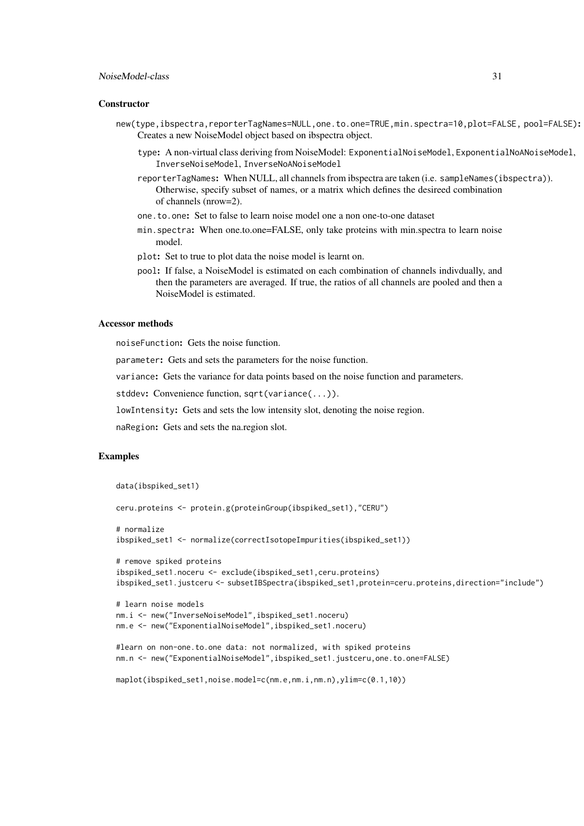#### NoiseModel-class 31

#### **Constructor**

- new(type,ibspectra,reporterTagNames=NULL,one.to.one=TRUE,min.spectra=10,plot=FALSE, pool=FALSE): Creates a new NoiseModel object based on ibspectra object.
	- type: A non-virtual class deriving from NoiseModel: ExponentialNoiseModel, ExponentialNoANoiseModel, InverseNoiseModel, InverseNoANoiseModel
	- reporterTagNames: When NULL, all channels from ibspectra are taken (i.e. sampleNames(ibspectra)). Otherwise, specify subset of names, or a matrix which defines the desireed combination of channels (nrow=2).
	- one.to.one: Set to false to learn noise model one a non one-to-one dataset
	- min.spectra: When one.to.one=FALSE, only take proteins with min.spectra to learn noise model.
	- plot: Set to true to plot data the noise model is learnt on.
	- pool: If false, a NoiseModel is estimated on each combination of channels indivdually, and then the parameters are averaged. If true, the ratios of all channels are pooled and then a NoiseModel is estimated.

# Accessor methods

noiseFunction: Gets the noise function.

parameter: Gets and sets the parameters for the noise function.

variance: Gets the variance for data points based on the noise function and parameters.

stddev: Convenience function, sqrt(variance(...)).

lowIntensity: Gets and sets the low intensity slot, denoting the noise region.

naRegion: Gets and sets the na.region slot.

#### Examples

```
data(ibspiked_set1)
```

```
ceru.proteins <- protein.g(proteinGroup(ibspiked_set1),"CERU")
```

```
# normalize
ibspiked_set1 <- normalize(correctIsotopeImpurities(ibspiked_set1))
```

```
# remove spiked proteins
ibspiked_set1.noceru <- exclude(ibspiked_set1,ceru.proteins)
ibspiked_set1.justceru <- subsetIBSpectra(ibspiked_set1,protein=ceru.proteins,direction="include")
```

```
# learn noise models
nm.i <- new("InverseNoiseModel",ibspiked_set1.noceru)
nm.e <- new("ExponentialNoiseModel",ibspiked_set1.noceru)
```

```
#learn on non-one.to.one data: not normalized, with spiked proteins
nm.n <- new("ExponentialNoiseModel",ibspiked_set1.justceru,one.to.one=FALSE)
```

```
maplot(ibspiked_set1,noise.model=c(nm.e,nm.i,nm.n),ylim=c(0.1,10))
```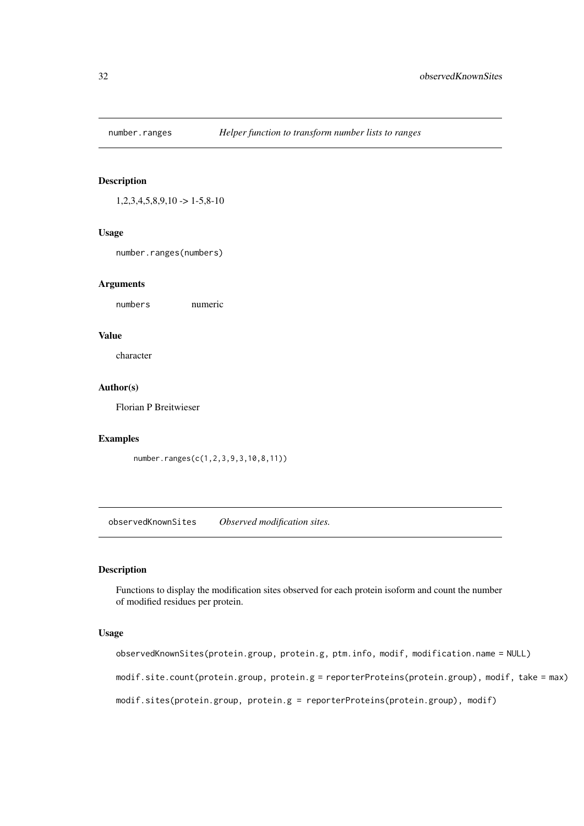<span id="page-31-0"></span>

# Description

 $1,2,3,4,5,8,9,10 \rightarrow 1-5,8-10$ 

# Usage

number.ranges(numbers)

#### Arguments

numbers numeric

### Value

character

# Author(s)

Florian P Breitwieser

# Examples

number.ranges(c(1,2,3,9,3,10,8,11))

observedKnownSites *Observed modification sites.*

# Description

Functions to display the modification sites observed for each protein isoform and count the number of modified residues per protein.

#### Usage

observedKnownSites(protein.group, protein.g, ptm.info, modif, modification.name = NULL)

modif.site.count(protein.group, protein.g = reporterProteins(protein.group), modif, take = max)

modif.sites(protein.group, protein.g = reporterProteins(protein.group), modif)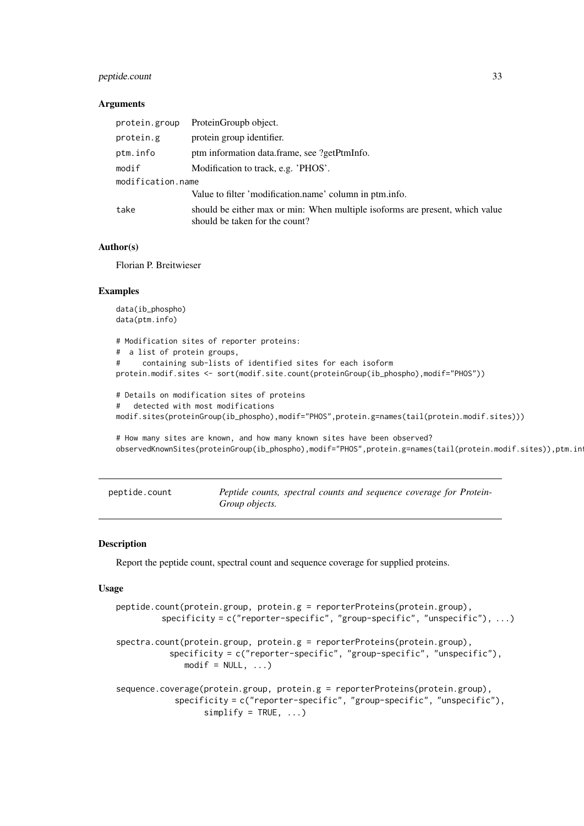#### <span id="page-32-0"></span>peptide.count 33

#### Arguments

| protein.group     | ProteinGroupb object.                                                                                          |
|-------------------|----------------------------------------------------------------------------------------------------------------|
| protein.g         | protein group identifier.                                                                                      |
| ptm.info          | ptm information data.frame, see ?getPtmInfo.                                                                   |
| modif             | Modification to track, e.g. 'PHOS'.                                                                            |
| modification.name |                                                                                                                |
|                   | Value to filter 'modification.name' column in ptm.info.                                                        |
| take              | should be either max or min: When multiple isoforms are present, which value<br>should be taken for the count? |

#### Author(s)

Florian P. Breitwieser

#### Examples

```
data(ib_phospho)
data(ptm.info)
# Modification sites of reporter proteins:
# a list of protein groups,
# containing sub-lists of identified sites for each isoform
protein.modif.sites <- sort(modif.site.count(proteinGroup(ib_phospho),modif="PHOS"))
# Details on modification sites of proteins
# detected with most modifications
modif.sites(proteinGroup(ib_phospho),modif="PHOS",protein.g=names(tail(protein.modif.sites)))
# How many sites are known, and how many known sites have been observed?
observedKnownSites(proteinGroup(ib_phospho),modif="PHOS",protein.g=names(tail(protein.modif.sites)),ptm.in
```

| peptide.count | Peptide counts, spectral counts and sequence coverage for Protein- |  |  |  |
|---------------|--------------------------------------------------------------------|--|--|--|
|               | Group objects.                                                     |  |  |  |

#### <span id="page-32-1"></span>Description

Report the peptide count, spectral count and sequence coverage for supplied proteins.

#### Usage

```
peptide.count(protein.group, protein.g = reporterProteins(protein.group),
         specificity = c("reporter-specific", "group-specific", "unspecific"), ...)
spectra.count(protein.group, protein.g = reporterProteins(protein.group),
           specificity = c("reporter-specific", "group-specific", "unspecific"),
              modelf = NULL, ...)sequence.coverage(protein.group, protein.g = reporterProteins(protein.group),
            specificity = c("reporter-specific", "group-specific", "unspecific"),
                  simplify = TRUE, ...
```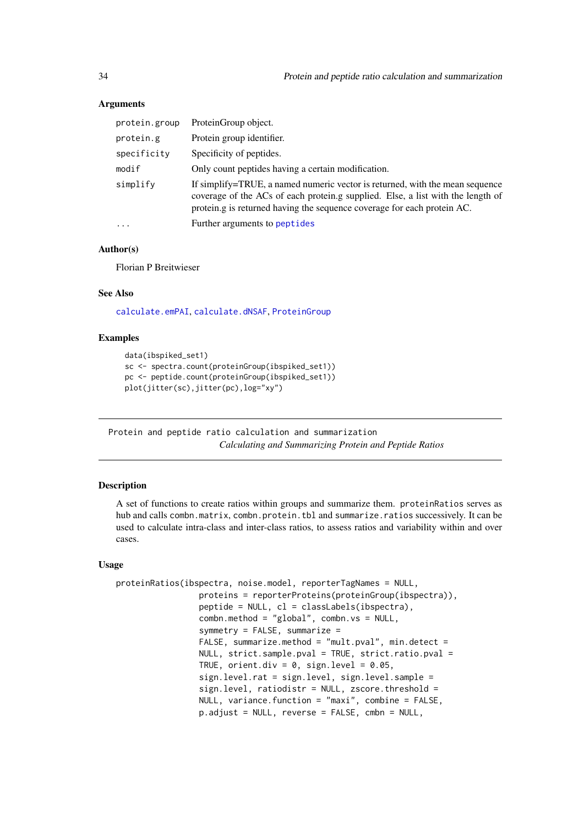### Arguments

| protein.group | ProteinGroup object.                                                                                                                                                                                                                       |
|---------------|--------------------------------------------------------------------------------------------------------------------------------------------------------------------------------------------------------------------------------------------|
| protein.g     | Protein group identifier.                                                                                                                                                                                                                  |
| specificity   | Specificity of peptides.                                                                                                                                                                                                                   |
| modif         | Only count peptides having a certain modification.                                                                                                                                                                                         |
| simplify      | If simplify=TRUE, a named numeric vector is returned, with the mean sequence<br>coverage of the ACs of each protein.g supplied. Else, a list with the length of<br>protein.g is returned having the sequence coverage for each protein AC. |
| $\cdot$       | Further arguments to peptides                                                                                                                                                                                                              |

#### Author(s)

Florian P Breitwieser

# See Also

[calculate.emPAI](#page-6-1), [calculate.dNSAF](#page-5-1), [ProteinGroup](#page-36-1)

# Examples

```
data(ibspiked_set1)
sc <- spectra.count(proteinGroup(ibspiked_set1))
pc <- peptide.count(proteinGroup(ibspiked_set1))
plot(jitter(sc),jitter(pc),log="xy")
```
Protein and peptide ratio calculation and summarization *Calculating and Summarizing Protein and Peptide Ratios*

### <span id="page-33-1"></span>Description

A set of functions to create ratios within groups and summarize them. proteinRatios serves as hub and calls combn.matrix, combn.protein.tbl and summarize.ratios successively. It can be used to calculate intra-class and inter-class ratios, to assess ratios and variability within and over cases.

# Usage

```
proteinRatios(ibspectra, noise.model, reporterTagNames = NULL,
                 proteins = reporterProteins(proteinGroup(ibspectra)),
                 peptide = NULL, cl = classLabels(ibspectra),
                 combn.method = "global", combn.vs = NULL,
                 symmetry = FALSE, summarize =
                 FALSE, summarize.method = "mult.pval", min.detect =
                 NULL, strict.sample.pval = TRUE, strict.ratio.pval =
                 TRUE, orient.div = 0, sign.level = 0.05,
                 sign.level.rat = sign.level, sign.level.sample =
                 sign.level, ratiodistr = NULL, zscore.threshold =
                 NULL, variance.function = "maxi", combine = FALSE,
                 p.adjust = NULL, reverse = FALSE, cmbn = NULL,
```
<span id="page-33-0"></span>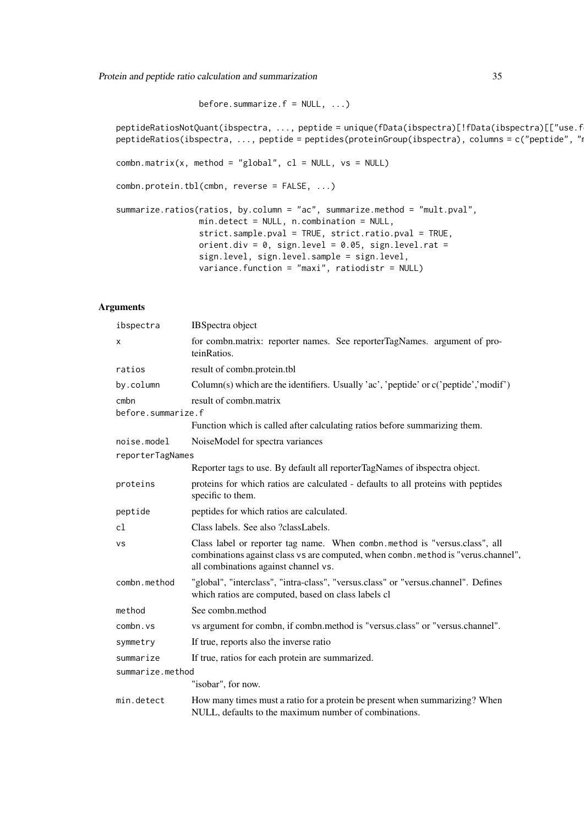Protein and peptide ratio calculation and summarization 35

before.summarize.f =  $NULL, ...)$ 

peptideRatiosNotQuant(ibspectra, ..., peptide = unique(fData(ibspectra)[!fData(ibspectra)[["use.f peptideRatios(ibspectra, ..., peptide = peptides(proteinGroup(ibspectra), columns = c("peptide", "  $combn_matrix(x, method = "global", cl = NULL, vs = NULL)$ combn.protein.tbl(cmbn, reverse = FALSE, ...) summarize.ratios(ratios, by.column = "ac", summarize.method = "mult.pval", min.detect = NULL, n.combination = NULL, strict.sample.pval = TRUE, strict.ratio.pval = TRUE, orient.div =  $0$ , sign.level =  $0.05$ , sign.level.rat = sign.level, sign.level.sample = sign.level, variance.function = "maxi", ratiodistr = NULL)

| ibspectra                  | IBSpectra object                                                                                                                                                                                         |
|----------------------------|----------------------------------------------------------------------------------------------------------------------------------------------------------------------------------------------------------|
| Χ                          | for combn.matrix: reporter names. See reporterTagNames. argument of pro-<br>teinRatios.                                                                                                                  |
| ratios                     | result of combn.protein.tbl                                                                                                                                                                              |
| by.column                  | Column(s) which are the identifiers. Usually 'ac', 'peptide' or c('peptide','modif')                                                                                                                     |
| cmbn<br>before.summarize.f | result of combn.matrix                                                                                                                                                                                   |
|                            | Function which is called after calculating ratios before summarizing them.                                                                                                                               |
| noise.model                | NoiseModel for spectra variances                                                                                                                                                                         |
| reporterTagNames           |                                                                                                                                                                                                          |
|                            | Reporter tags to use. By default all reporterTagNames of ibspectra object.                                                                                                                               |
| proteins                   | proteins for which ratios are calculated - defaults to all proteins with peptides<br>specific to them.                                                                                                   |
| peptide                    | peptides for which ratios are calculated.                                                                                                                                                                |
| cl                         | Class labels. See also ?classLabels.                                                                                                                                                                     |
| <b>VS</b>                  | Class label or reporter tag name. When combn.method is "versus.class", all<br>combinations against class vs are computed, when combn. method is "verus.channel",<br>all combinations against channel vs. |
| combn.method               | "global", "interclass", "intra-class", "versus.class" or "versus.channel". Defines<br>which ratios are computed, based on class labels cl                                                                |
| method                     | See combn.method                                                                                                                                                                                         |
| combn.vs                   | vs argument for combn, if combn.method is "versus.class" or "versus.channel".                                                                                                                            |
| symmetry                   | If true, reports also the inverse ratio                                                                                                                                                                  |
| summarize                  | If true, ratios for each protein are summarized.                                                                                                                                                         |
| summarize.method           |                                                                                                                                                                                                          |
|                            | "isobar", for now.                                                                                                                                                                                       |
| min.detect                 | How many times must a ratio for a protein be present when summarizing? When<br>NULL, defaults to the maximum number of combinations.                                                                     |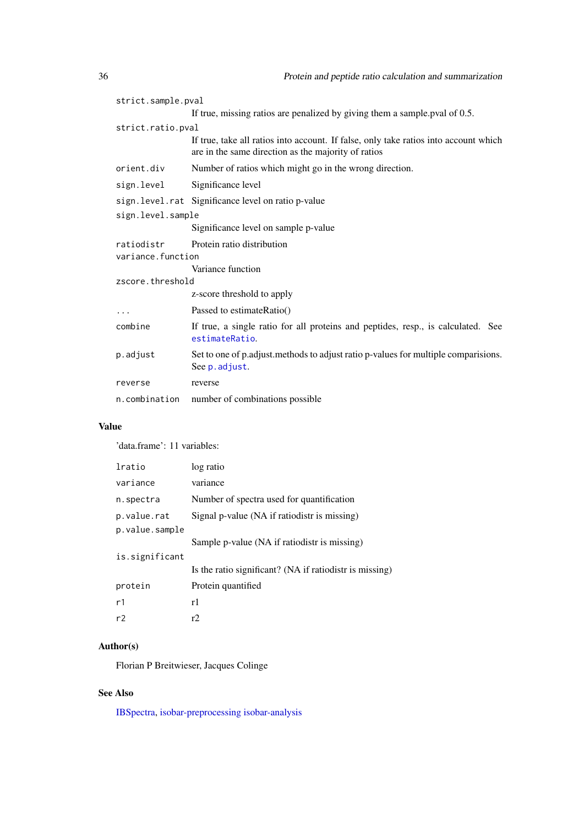| strict.sample.pval |                                                                                                                                             |  |  |
|--------------------|---------------------------------------------------------------------------------------------------------------------------------------------|--|--|
|                    | If true, missing ratios are penalized by giving them a sample pval of 0.5.                                                                  |  |  |
| strict.ratio.pval  |                                                                                                                                             |  |  |
|                    | If true, take all ratios into account. If false, only take ratios into account which<br>are in the same direction as the majority of ratios |  |  |
| orient.div         | Number of ratios which might go in the wrong direction.                                                                                     |  |  |
| sign.level         | Significance level                                                                                                                          |  |  |
|                    | sign. level.rat Significance level on ratio p-value                                                                                         |  |  |
| sign.level.sample  |                                                                                                                                             |  |  |
|                    | Significance level on sample p-value                                                                                                        |  |  |
| ratiodistr         | Protein ratio distribution                                                                                                                  |  |  |
| variance.function  |                                                                                                                                             |  |  |
|                    | Variance function                                                                                                                           |  |  |
| zscore.threshold   |                                                                                                                                             |  |  |
|                    | z-score threshold to apply                                                                                                                  |  |  |
| $\cdots$           | Passed to estimateRatio()                                                                                                                   |  |  |
| combine            | If true, a single ratio for all proteins and peptides, resp., is calculated. See<br>estimateRatio.                                          |  |  |
| p.adjust           | Set to one of p.adjust.methods to adjust ratio p-values for multiple comparisions.<br>See p. adjust.                                        |  |  |
| reverse            | reverse                                                                                                                                     |  |  |
| n.combination      | number of combinations possible                                                                                                             |  |  |

# Value

'data.frame': 11 variables:

| lratio         | log ratio                                               |
|----------------|---------------------------------------------------------|
| variance       | variance                                                |
| n.spectra      | Number of spectra used for quantification               |
| p.value.rat    | Signal p-value (NA if ratiodistr is missing)            |
| p.value.sample |                                                         |
|                | Sample p-value (NA if ratiodistr is missing)            |
| is.significant |                                                         |
|                | Is the ratio significant? (NA if ratiodistr is missing) |
| protein        | Protein quantified                                      |
| r1             | r1                                                      |
| r2             | r2                                                      |

# Author(s)

Florian P Breitwieser, Jacques Colinge

# See Also

[IBSpectra,](#page-15-1) [isobar-preprocessing](#page-25-2) [isobar-analysis](#page-19-2)

<span id="page-35-0"></span>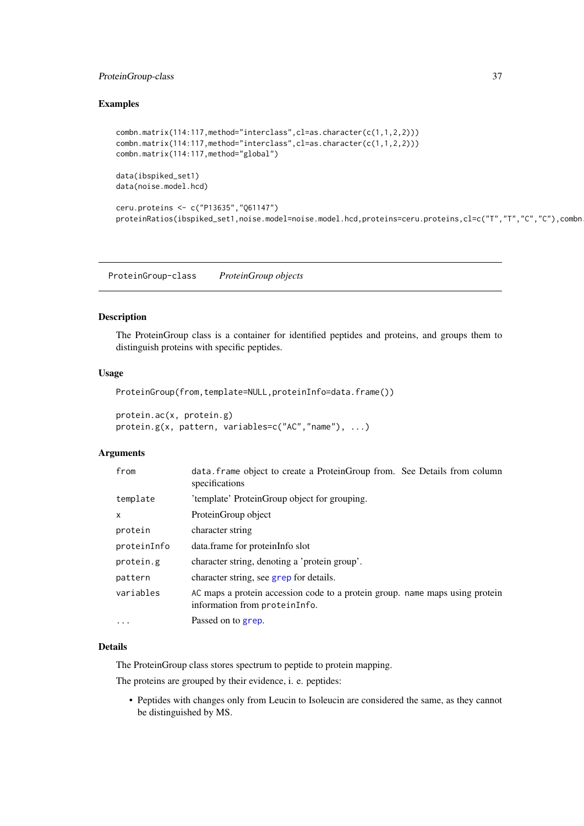#### <span id="page-36-0"></span>ProteinGroup-class 37

# Examples

```
combn.matrix(114:117,method="interclass",cl=as.character(c(1,1,2,2)))
combn.matrix(114:117,method="interclass",cl=as.character(c(1,1,2,2)))
combn.matrix(114:117,method="global")
data(ibspiked_set1)
data(noise.model.hcd)
ceru.proteins <- c("P13635","Q61147")
proteinRatios(ibspiked_set1,noise.model=noise.model.hcd,proteins=ceru.proteins,cl=c("T","T","C","C"),combn
```
ProteinGroup-class *ProteinGroup objects*

# <span id="page-36-1"></span>Description

The ProteinGroup class is a container for identified peptides and proteins, and groups them to distinguish proteins with specific peptides.

# Usage

```
ProteinGroup(from,template=NULL,proteinInfo=data.frame())
```

```
protein.ac(x, protein.g)
protein.g(x, pattern, variables=c("AC","name"), ...)
```
#### Arguments

| from         | data. frame object to create a ProteinGroup from. See Details from column<br>specifications                   |
|--------------|---------------------------------------------------------------------------------------------------------------|
| template     | 'template' ProteinGroup object for grouping.                                                                  |
| $\mathsf{x}$ | ProteinGroup object                                                                                           |
| protein      | character string                                                                                              |
| proteinInfo  | data.frame for proteinInfo slot                                                                               |
| protein.g    | character string, denoting a 'protein group'.                                                                 |
| pattern      | character string, see grep for details.                                                                       |
| variables    | AC maps a protein accession code to a protein group. name maps using protein<br>information from proteinInfo. |
| $\cdots$     | Passed on to grep.                                                                                            |

#### Details

The ProteinGroup class stores spectrum to peptide to protein mapping.

The proteins are grouped by their evidence, i. e. peptides:

• Peptides with changes only from Leucin to Isoleucin are considered the same, as they cannot be distinguished by MS.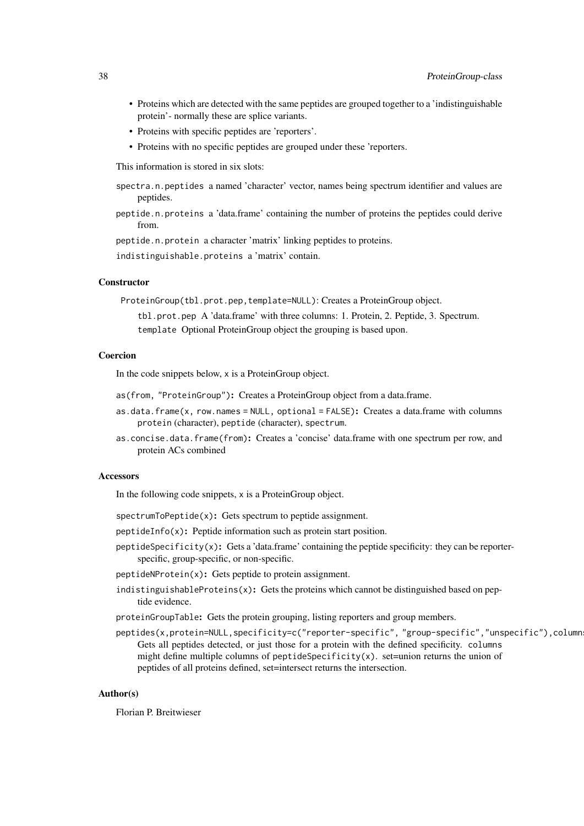- Proteins which are detected with the same peptides are grouped together to a 'indistinguishable protein'- normally these are splice variants.
- Proteins with specific peptides are 'reporters'.
- Proteins with no specific peptides are grouped under these 'reporters.

This information is stored in six slots:

- spectra.n.peptides a named 'character' vector, names being spectrum identifier and values are peptides.
- peptide.n.proteins a 'data.frame' containing the number of proteins the peptides could derive from.

peptide.n.protein a character 'matrix' linking peptides to proteins.

indistinguishable.proteins a 'matrix' contain.

#### **Constructor**

ProteinGroup(tbl.prot.pep,template=NULL): Creates a ProteinGroup object.

tbl.prot.pep A 'data.frame' with three columns: 1. Protein, 2. Peptide, 3. Spectrum. template Optional ProteinGroup object the grouping is based upon.

### Coercion

In the code snippets below, x is a ProteinGroup object.

- as(from, "ProteinGroup"): Creates a ProteinGroup object from a data.frame.
- as.data.frame(x, row.names = NULL, optional = FALSE): Creates a data.frame with columns protein (character), peptide (character), spectrum.
- as.concise.data.frame(from): Creates a 'concise' data.frame with one spectrum per row, and protein ACs combined

#### Accessors

In the following code snippets, x is a ProteinGroup object.

- spectrumToPeptide(x): Gets spectrum to peptide assignment.
- peptideInfo(x): Peptide information such as protein start position.
- $\text{peptideSpecificity}(x)$ : Gets a 'data.frame' containing the peptide specificity: they can be reporterspecific, group-specific, or non-specific.
- peptideNProtein(x): Gets peptide to protein assignment.
- indistinguishableProteins $(x)$ : Gets the proteins which cannot be distinguished based on peptide evidence.
- proteinGroupTable: Gets the protein grouping, listing reporters and group members.
- peptides(x,protein=NULL,specificity=c("reporter-specific", "group-specific","unspecific"),column Gets all peptides detected, or just those for a protein with the defined specificity. columns might define multiple columns of peptideSpecificity(x). set=union returns the union of peptides of all proteins defined, set=intersect returns the intersection.

# Author(s)

Florian P. Breitwieser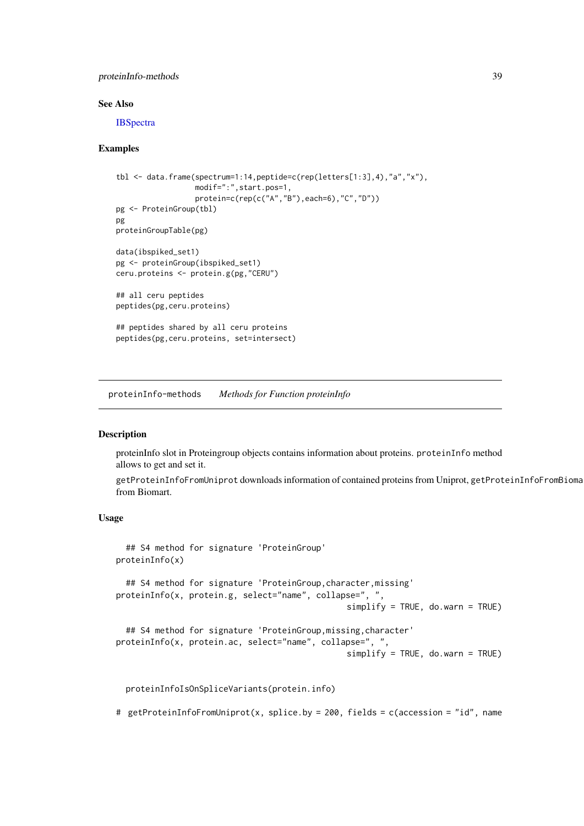#### <span id="page-38-0"></span>proteinInfo-methods 39

#### See Also

**[IBSpectra](#page-15-1)** 

### Examples

```
tbl \leq data.frame(spectrum=1:14,peptide=c(rep(letters[1:3],4),"a","x"),
                  modif=":",start.pos=1,
                  protein=c(rep(c("A","B"),each=6),"C","D"))
pg <- ProteinGroup(tbl)
pg
proteinGroupTable(pg)
data(ibspiked_set1)
pg <- proteinGroup(ibspiked_set1)
ceru.proteins <- protein.g(pg,"CERU")
## all ceru peptides
peptides(pg,ceru.proteins)
## peptides shared by all ceru proteins
peptides(pg,ceru.proteins, set=intersect)
```
proteinInfo-methods *Methods for Function proteinInfo*

### <span id="page-38-1"></span>Description

proteinInfo slot in Proteingroup objects contains information about proteins. proteinInfo method allows to get and set it.

getProteinInfoFromUniprot downloads information of contained proteins from Uniprot, getProteinInfoFromBioma from Biomart.

### Usage

```
## S4 method for signature 'ProteinGroup'
proteinInfo(x)
  ## S4 method for signature 'ProteinGroup, character, missing'
proteinInfo(x, protein.g, select="name", collapse=", ",
                                                simplify = TRUE, do.warn = TRUE)
  ## S4 method for signature 'ProteinGroup, missing, character'
proteinInfo(x, protein.ac, select="name", collapse=", ",
                                                simplify = TRUE, do.warn = TRUE)
```
proteinInfoIsOnSpliceVariants(protein.info)

# getProteinInfoFromUniprot(x, splice.by = 200, fields = c(accession = "id", name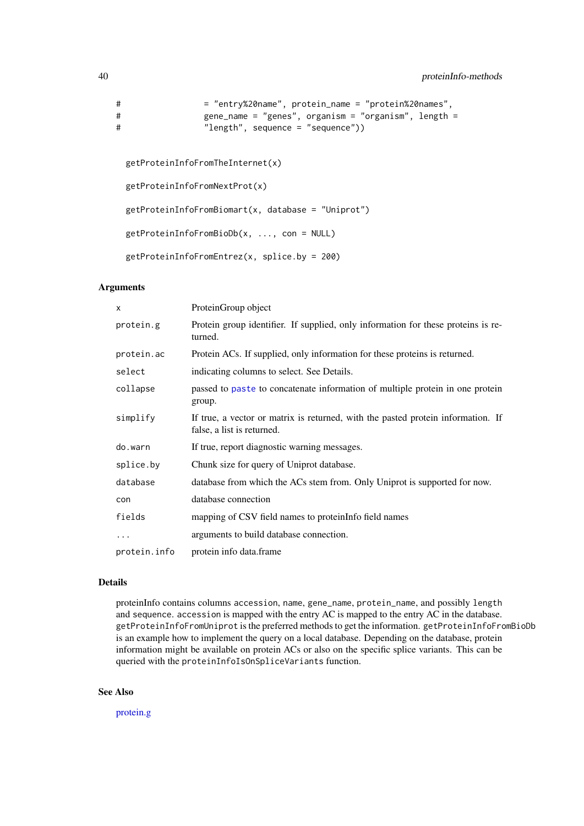```
# = "entry%20name", protein_name = "protein%20names",
# gene_name = "genes", organism = "organism", length =
# "length", sequence = "sequence"))
```

```
getProteinInfoFromTheInternet(x)
getProteinInfoFromNextProt(x)
getProteinInfoFromBiomart(x, database = "Uniprot")
getProteinInfoFromBioDb(x, ..., con = NULL)
getProteinInfoFromEntrez(x, splice.by = 200)
```
### Arguments

| X            | ProteinGroup object                                                                                            |
|--------------|----------------------------------------------------------------------------------------------------------------|
| protein.g    | Protein group identifier. If supplied, only information for these proteins is re-<br>turned.                   |
| protein.ac   | Protein ACs. If supplied, only information for these proteins is returned.                                     |
| select       | indicating columns to select. See Details.                                                                     |
| collapse     | passed to paste to concatenate information of multiple protein in one protein<br>group.                        |
| simplify     | If true, a vector or matrix is returned, with the pasted protein information. If<br>false, a list is returned. |
| do.warn      | If true, report diagnostic warning messages.                                                                   |
| splice.by    | Chunk size for query of Uniprot database.                                                                      |
| database     | database from which the ACs stem from. Only Uniprot is supported for now.                                      |
| con          | database connection                                                                                            |
| fields       | mapping of CSV field names to protein Info field names                                                         |
| .            | arguments to build database connection.                                                                        |
| protein.info | protein info data.frame                                                                                        |

# Details

proteinInfo contains columns accession, name, gene\_name, protein\_name, and possibly length and sequence. accession is mapped with the entry AC is mapped to the entry AC in the database. getProteinInfoFromUniprot is the preferred methods to get the information. getProteinInfoFromBioDb is an example how to implement the query on a local database. Depending on the database, protein information might be available on protein ACs or also on the specific splice variants. This can be queried with the proteinInfoIsOnSpliceVariants function.

# See Also

[protein.g](#page-36-1)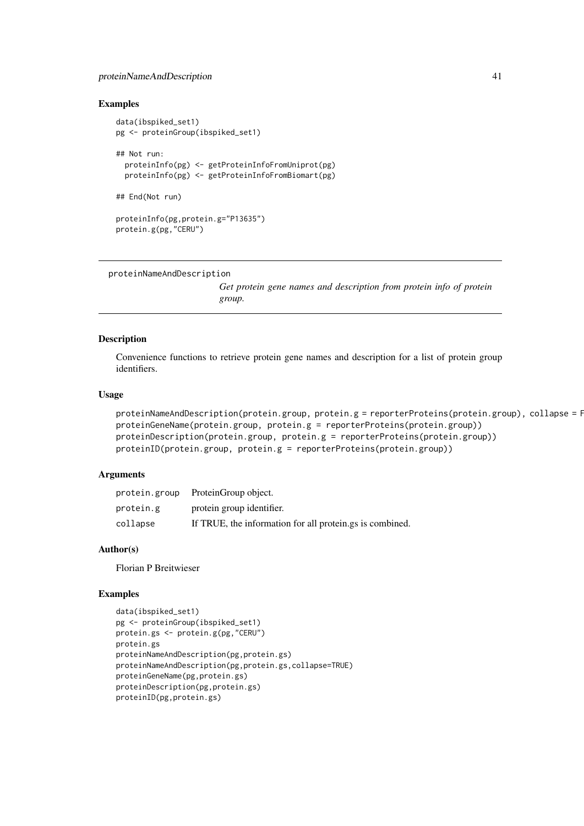#### <span id="page-40-0"></span>proteinNameAndDescription 41

#### Examples

```
data(ibspiked_set1)
pg <- proteinGroup(ibspiked_set1)
## Not run:
  proteinInfo(pg) <- getProteinInfoFromUniprot(pg)
  proteinInfo(pg) <- getProteinInfoFromBiomart(pg)
## End(Not run)
proteinInfo(pg,protein.g="P13635")
protein.g(pg,"CERU")
```

```
proteinNameAndDescription
```
*Get protein gene names and description from protein info of protein group.*

# Description

Convenience functions to retrieve protein gene names and description for a list of protein group identifiers.

# Usage

```
proteinNameAndDescription(protein.group, protein.g = reporterProteins(protein.group), collapse = F
proteinGeneName(protein.group, protein.g = reporterProteins(protein.group))
proteinDescription(protein.group, protein.g = reporterProteins(protein.group))
proteinID(protein.group, protein.g = reporterProteins(protein.group))
```
### Arguments

|           | protein.group ProteinGroup object.                       |
|-----------|----------------------------------------------------------|
| protein.g | protein group identifier.                                |
| collapse  | If TRUE, the information for all protein.gs is combined. |

#### Author(s)

Florian P Breitwieser

#### Examples

```
data(ibspiked_set1)
pg <- proteinGroup(ibspiked_set1)
protein.gs <- protein.g(pg,"CERU")
protein.gs
proteinNameAndDescription(pg,protein.gs)
proteinNameAndDescription(pg,protein.gs,collapse=TRUE)
proteinGeneName(pg,protein.gs)
proteinDescription(pg,protein.gs)
proteinID(pg,protein.gs)
```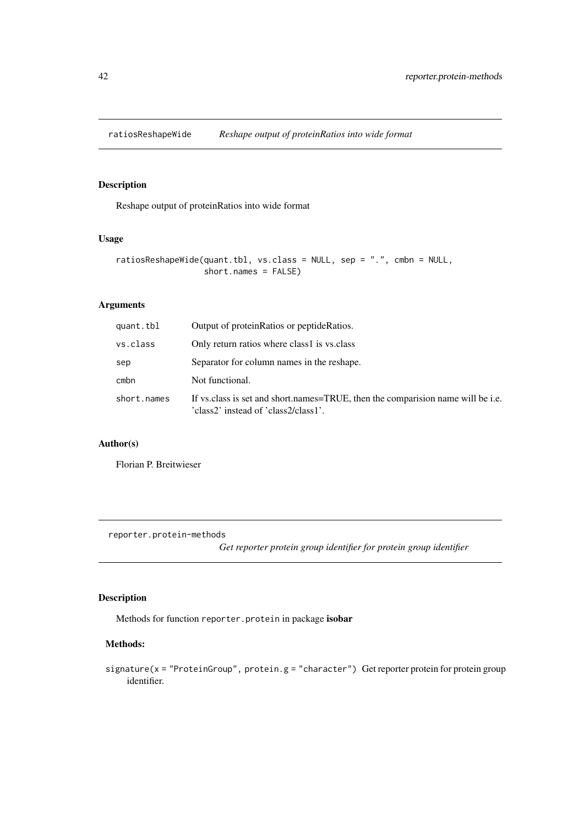<span id="page-41-0"></span>

# Description

Reshape output of proteinRatios into wide format

# Usage

```
ratiosReshapeWide(quant.tbl, vs.class = NULL, sep = ".", cmbn = NULL,
                  short.names = FALSE)
```
# Arguments

| quant.tbl   | Output of protein Ratios or peptide Ratios.                                                                             |
|-------------|-------------------------------------------------------------------------------------------------------------------------|
| vs.class    | Only return ratios where class1 is vs.class                                                                             |
| sep         | Separator for column names in the reshape.                                                                              |
| cmbn        | Not functional.                                                                                                         |
| short.names | If vs. class is set and short names=TRUE, then the comparison name will be i.e.<br>'class2' instead of 'class2/class1'. |

# Author(s)

Florian P. Breitwieser

reporter.protein-methods

*Get reporter protein group identifier for protein group identifier*

# Description

Methods for function reporter.protein in package isobar

# Methods:

```
signature(x = "ProteinGroup", protein.g = "character") Get reporter protein for protein group
     identifier.
```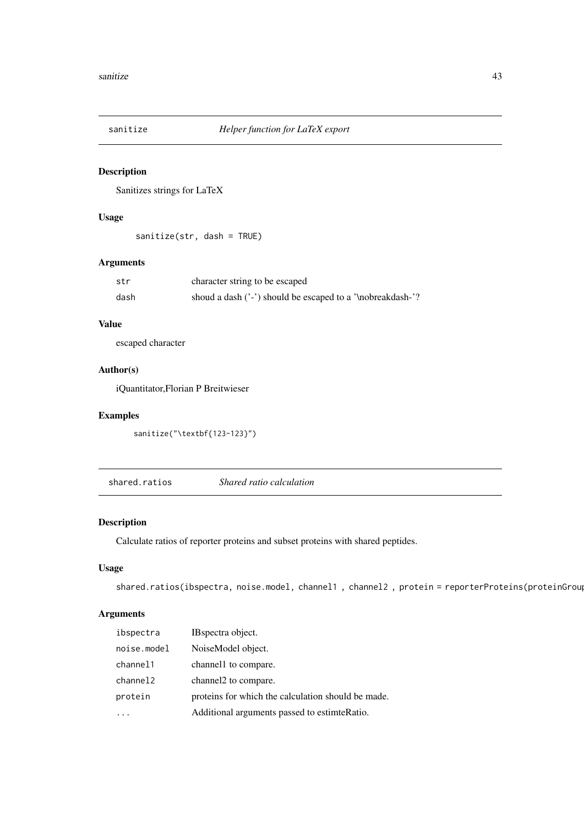<span id="page-42-0"></span>

# Description

Sanitizes strings for LaTeX

# Usage

sanitize(str, dash = TRUE)

# Arguments

| str  | character string to be escaped                             |
|------|------------------------------------------------------------|
| dash | shoud a dash ('-') should be escaped to a '\nobreakdash-'? |

# Value

escaped character

# Author(s)

iQuantitator,Florian P Breitwieser

### Examples

sanitize("\textbf{123-123}")

<span id="page-42-1"></span>shared.ratios *Shared ratio calculation*

# Description

Calculate ratios of reporter proteins and subset proteins with shared peptides.

# Usage

```
shared.ratios(ibspectra, noise.model, channel1, channel2, protein = reporterProteins(proteinGroup
```

| ibspectra   | IB spectra object.                                 |
|-------------|----------------------------------------------------|
| noise.model | NoiseModel object.                                 |
| channel1    | channel1 to compare.                               |
| channel2    | channel to compare.                                |
| protein     | proteins for which the calculation should be made. |
|             | Additional arguments passed to estimte Ratio.      |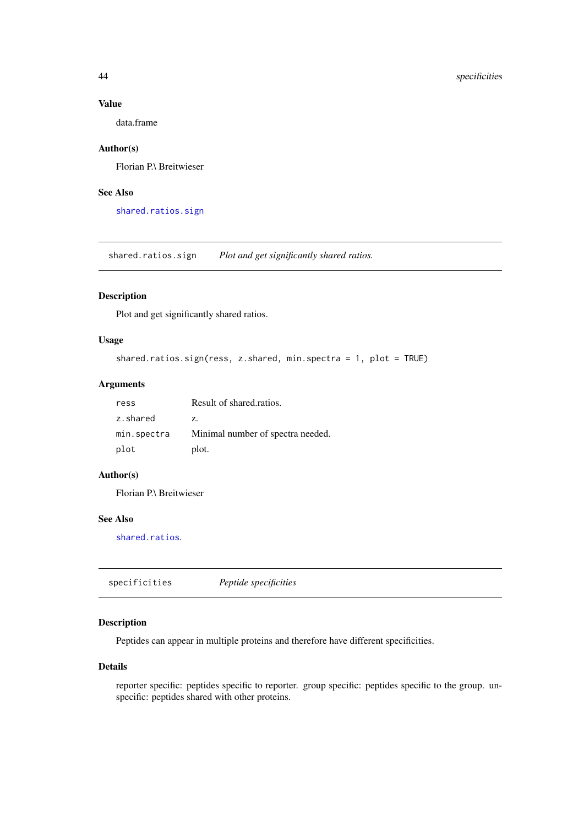### Value

data.frame

# Author(s)

Florian P.\ Breitwieser

# See Also

[shared.ratios.sign](#page-43-2)

<span id="page-43-2"></span>shared.ratios.sign *Plot and get significantly shared ratios.*

# Description

Plot and get significantly shared ratios.

# Usage

```
shared.ratios.sign(ress, z.shared, min.spectra = 1, plot = TRUE)
```
# Arguments

| ress        | Result of shared ratios.          |  |  |
|-------------|-----------------------------------|--|--|
| z.shared    | Z.                                |  |  |
| min.spectra | Minimal number of spectra needed. |  |  |
| plot        | plot.                             |  |  |

# Author(s)

Florian P.\ Breitwieser

### See Also

[shared.ratios](#page-42-1).

<span id="page-43-1"></span>specificities *Peptide specificities*

# Description

Peptides can appear in multiple proteins and therefore have different specificities.

### Details

reporter specific: peptides specific to reporter. group specific: peptides specific to the group. unspecific: peptides shared with other proteins.

<span id="page-43-0"></span>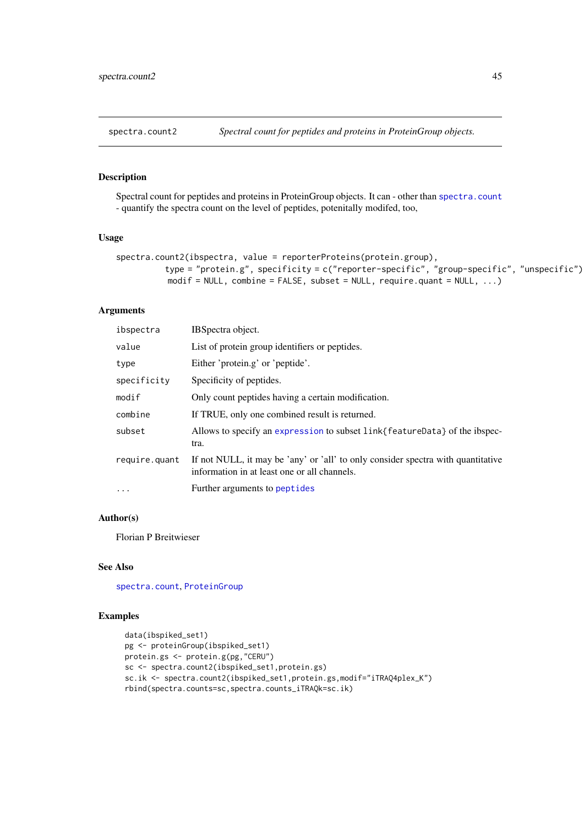<span id="page-44-0"></span>

# Description

Spectral count for peptides and proteins in ProteinGroup objects. It can - other than [spectra.count](#page-32-1) - quantify the spectra count on the level of peptides, potenitally modifed, too,

#### Usage

```
spectra.count2(ibspectra, value = reporterProteins(protein.group),
          type = "protein.g", specificity = c("reporter-specific", "group-specific", "unspecific"),
          modif = NULL, combine = FALSE, subset = NULL, require.quant = NULL, \dots)
```
### Arguments

| ibspectra     | IBSpectra object.                                                                                                                |
|---------------|----------------------------------------------------------------------------------------------------------------------------------|
| value         | List of protein group identifiers or peptides.                                                                                   |
| type          | Either 'protein.g' or 'peptide'.                                                                                                 |
| specificity   | Specificity of peptides.                                                                                                         |
| modif         | Only count peptides having a certain modification.                                                                               |
| combine       | If TRUE, only one combined result is returned.                                                                                   |
| subset        | Allows to specify an expression to subset link{featureData} of the ibspec-<br>tra.                                               |
| require.quant | If not NULL, it may be 'any' or 'all' to only consider spectra with quantitative<br>information in at least one or all channels. |
| $\ddots$      | Further arguments to peptides                                                                                                    |

#### Author(s)

Florian P Breitwieser

### See Also

[spectra.count](#page-32-1), [ProteinGroup](#page-36-1)

# Examples

```
data(ibspiked_set1)
pg <- proteinGroup(ibspiked_set1)
protein.gs <- protein.g(pg,"CERU")
sc <- spectra.count2(ibspiked_set1,protein.gs)
sc.ik <- spectra.count2(ibspiked_set1,protein.gs,modif="iTRAQ4plex_K")
rbind(spectra.counts=sc,spectra.counts_iTRAQk=sc.ik)
```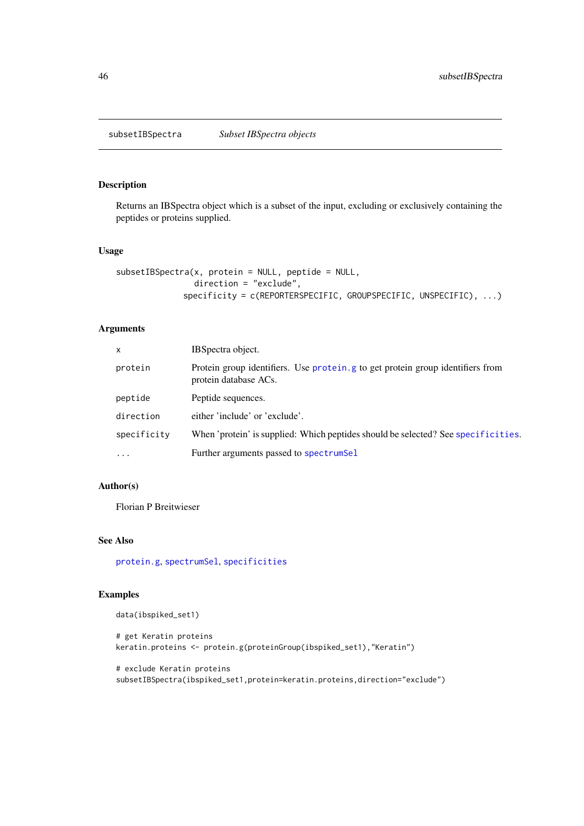<span id="page-45-1"></span><span id="page-45-0"></span>

# Description

Returns an IBSpectra object which is a subset of the input, excluding or exclusively containing the peptides or proteins supplied.

# Usage

```
subsetIBSpectra(x, protein = NULL, peptide = NULL,direction = "exclude",
             specificity = c(REPORTERSPECIFIC, GROUPSPECIFIC, UNSPECIFIC), ...)
```
# Arguments

| $\mathsf{x}$ | IBSpectra object.                                                                                       |  |
|--------------|---------------------------------------------------------------------------------------------------------|--|
| protein      | Protein group identifiers. Use protein g to get protein group identifiers from<br>protein database ACs. |  |
| peptide      | Peptide sequences.                                                                                      |  |
| direction    | either 'include' or 'exclude'.                                                                          |  |
| specificity  | When 'protein' is supplied: Which peptides should be selected? See specificities.                       |  |
| $\ddotsc$    | Further arguments passed to spectrumSel                                                                 |  |

# Author(s)

Florian P Breitwieser

### See Also

[protein.g](#page-36-1), [spectrumSel](#page-15-1), [specificities](#page-43-1)

# Examples

data(ibspiked\_set1)

```
# get Keratin proteins
keratin.proteins <- protein.g(proteinGroup(ibspiked_set1),"Keratin")
```
# exclude Keratin proteins subsetIBSpectra(ibspiked\_set1,protein=keratin.proteins,direction="exclude")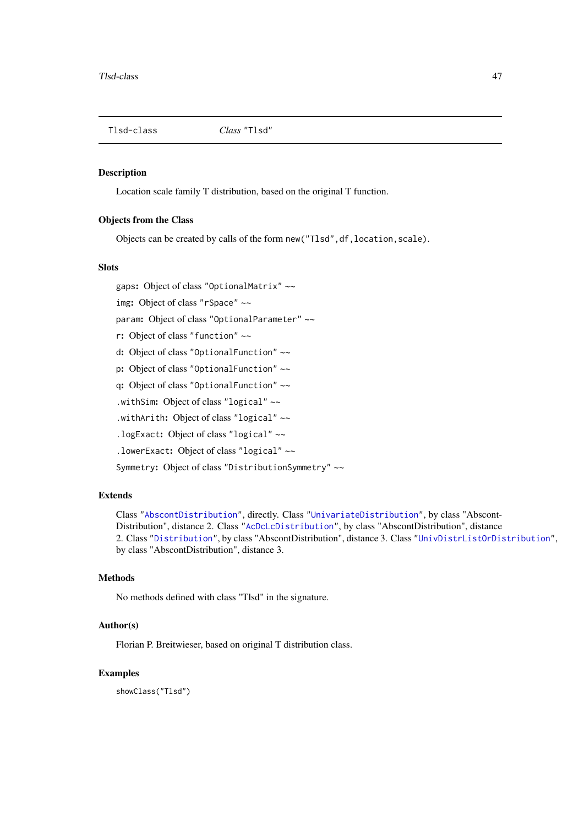<span id="page-46-1"></span><span id="page-46-0"></span>Tlsd-class *Class* "Tlsd"

#### Description

Location scale family T distribution, based on the original T function.

#### Objects from the Class

Objects can be created by calls of the form new("Tlsd",df,location,scale).

#### Slots

gaps: Object of class "OptionalMatrix" ~~

img: Object of class "rSpace" ~~

param: Object of class "OptionalParameter" ~~

r: Object of class "function" ~~

d: Object of class "OptionalFunction" ~~

p: Object of class "OptionalFunction" ~~

q: Object of class "OptionalFunction" ~~

.withSim: Object of class "logical" ~~

.withArith: Object of class "logical" ~~

.logExact: Object of class "logical" ~~

.lowerExact: Object of class "logical" ~~

Symmetry: Object of class "DistributionSymmetry" ~~

#### Extends

Class ["AbscontDistribution"](#page-8-1), directly. Class ["UnivariateDistribution"](#page-8-1), by class "Abscont-Distribution", distance 2. Class ["AcDcLcDistribution"](#page-0-0), by class "AbscontDistribution", distance 2. Class ["Distribution"](#page-8-1), by class "AbscontDistribution", distance 3. Class ["UnivDistrListOrDistribution"](#page-0-0), by class "AbscontDistribution", distance 3.

### Methods

No methods defined with class "Tlsd" in the signature.

# Author(s)

Florian P. Breitwieser, based on original T distribution class.

# Examples

showClass("Tlsd")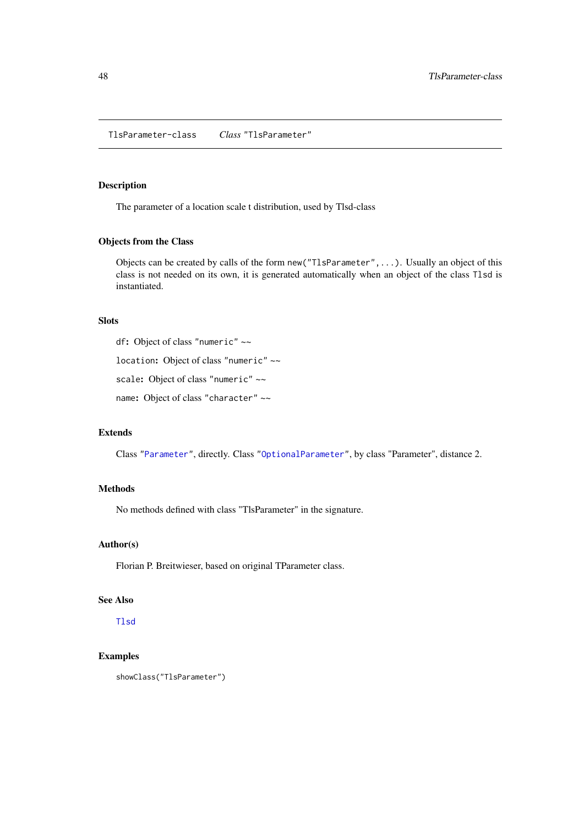<span id="page-47-0"></span>TlsParameter-class *Class* "TlsParameter"

# Description

The parameter of a location scale t distribution, used by Tlsd-class

# Objects from the Class

Objects can be created by calls of the form new("TlsParameter",...). Usually an object of this class is not needed on its own, it is generated automatically when an object of the class Tlsd is instantiated.

# Slots

df: Object of class "numeric" ~~

location: Object of class "numeric" ~~

scale: Object of class "numeric" ~~

name: Object of class "character" ~~

# Extends

Class ["Parameter"](#page-8-1), directly. Class ["OptionalParameter"](#page-0-0), by class "Parameter", distance 2.

# Methods

No methods defined with class "TlsParameter" in the signature.

# Author(s)

Florian P. Breitwieser, based on original TParameter class.

# See Also

[Tlsd](#page-46-1)

# Examples

```
showClass("TlsParameter")
```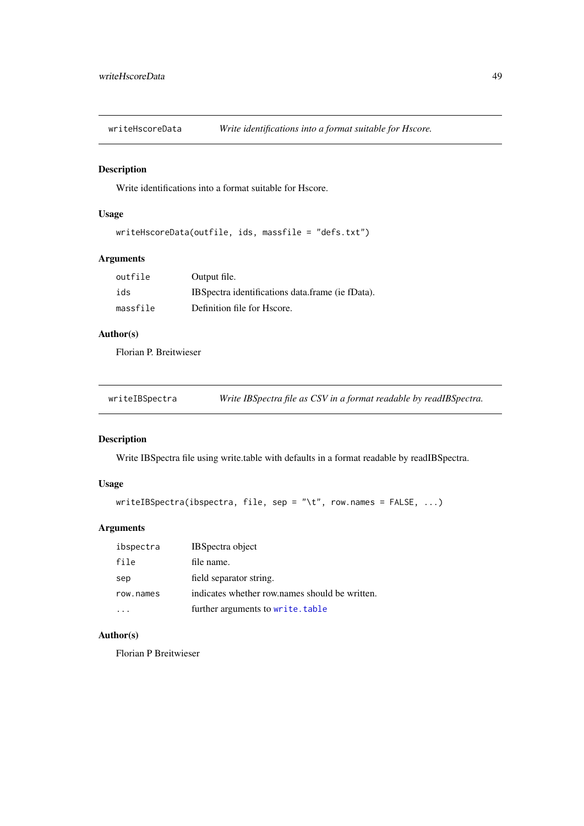<span id="page-48-0"></span>writeHscoreData *Write identifications into a format suitable for Hscore.*

# Description

Write identifications into a format suitable for Hscore.

# Usage

```
writeHscoreData(outfile, ids, massfile = "defs.txt")
```
# Arguments

| outfile  | Output file.                                      |
|----------|---------------------------------------------------|
| ids      | IBS pectra identifications data frame (ie fData). |
| massfile | Definition file for Hscore.                       |

# Author(s)

Florian P. Breitwieser

| writeIBSpectra |  | Write IBSpectra file as CSV in a format readable by readIBSpectra. |
|----------------|--|--------------------------------------------------------------------|
|                |  |                                                                    |

# Description

Write IBSpectra file using write.table with defaults in a format readable by readIBSpectra.

# Usage

```
writeIBSpectra(ibspectra, file, sep = "\t", row.names = FALSE, ...)
```
# Arguments

| ibspectra | <b>IBSpectra</b> object                        |
|-----------|------------------------------------------------|
| file      | file name.                                     |
| sep       | field separator string.                        |
| row.names | indicates whether row names should be written. |
|           | further arguments to write.table               |

# Author(s)

Florian P Breitwieser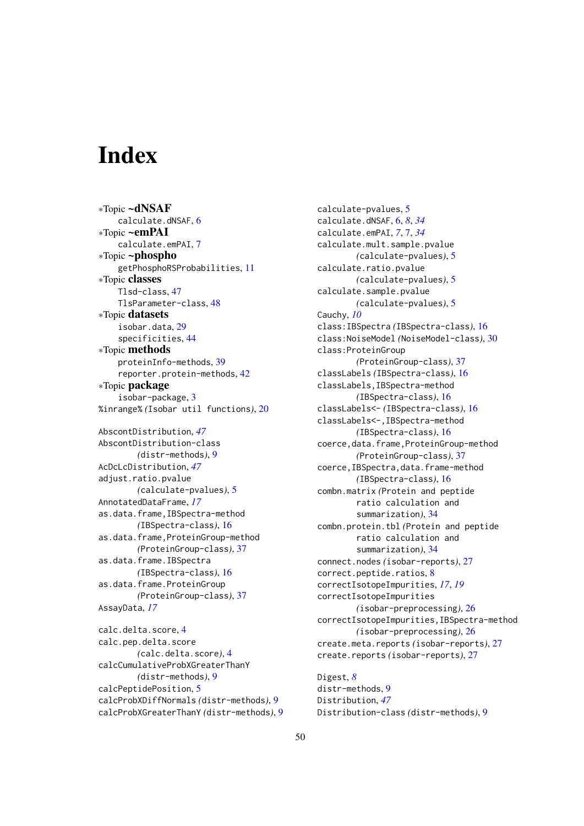# <span id="page-49-0"></span>Index

∗Topic ~dNSAF calculate.dNSAF, [6](#page-5-0) ∗Topic ~emPAI calculate.emPAI, [7](#page-6-0) ∗Topic ~phospho getPhosphoRSProbabilities, [11](#page-10-0) ∗Topic classes Tlsd-class, [47](#page-46-0) TlsParameter-class, [48](#page-47-0) ∗Topic datasets isobar.data, [29](#page-28-0) specificities, [44](#page-43-0) ∗Topic methods proteinInfo-methods, [39](#page-38-0) reporter.protein-methods, [42](#page-41-0) ∗Topic package isobar-package, [3](#page-2-0) %inrange% *(*Isobar util functions*)*, [20](#page-19-0) AbscontDistribution, *[47](#page-46-0)* AbscontDistribution-class *(*distr-methods*)*, [9](#page-8-0) AcDcLcDistribution, *[47](#page-46-0)* adjust.ratio.pvalue *(*calculate-pvalues*)*, [5](#page-4-0) AnnotatedDataFrame, *[17](#page-16-0)* as.data.frame,IBSpectra-method *(*IBSpectra-class*)*, [16](#page-15-0) as.data.frame,ProteinGroup-method *(*ProteinGroup-class*)*, [37](#page-36-0) as.data.frame.IBSpectra *(*IBSpectra-class*)*, [16](#page-15-0) as.data.frame.ProteinGroup *(*ProteinGroup-class*)*, [37](#page-36-0) AssayData, *[17](#page-16-0)* calc.delta.score, [4](#page-3-0) calc.pep.delta.score *(*calc.delta.score*)*, [4](#page-3-0) calcCumulativeProbXGreaterThanY

*(*distr-methods*)*, [9](#page-8-0) calcPeptidePosition, [5](#page-4-0) calcProbXDiffNormals *(*distr-methods*)*, [9](#page-8-0) calcProbXGreaterThanY *(*distr-methods*)*, [9](#page-8-0) calculate-pvalues, [5](#page-4-0) calculate.dNSAF, [6,](#page-5-0) *[8](#page-7-0)*, *[34](#page-33-0)* calculate.emPAI, *[7](#page-6-0)*, [7,](#page-6-0) *[34](#page-33-0)* calculate.mult.sample.pvalue *(*calculate-pvalues*)*, [5](#page-4-0) calculate.ratio.pvalue *(*calculate-pvalues*)*, [5](#page-4-0) calculate.sample.pvalue *(*calculate-pvalues*)*, [5](#page-4-0) Cauchy, *[10](#page-9-0)* class:IBSpectra *(*IBSpectra-class*)*, [16](#page-15-0) class:NoiseModel *(*NoiseModel-class*)*, [30](#page-29-0) class:ProteinGroup *(*ProteinGroup-class*)*, [37](#page-36-0) classLabels *(*IBSpectra-class*)*, [16](#page-15-0) classLabels,IBSpectra-method *(*IBSpectra-class*)*, [16](#page-15-0) classLabels<- *(*IBSpectra-class*)*, [16](#page-15-0) classLabels<-,IBSpectra-method *(*IBSpectra-class*)*, [16](#page-15-0) coerce,data.frame,ProteinGroup-method *(*ProteinGroup-class*)*, [37](#page-36-0) coerce,IBSpectra,data.frame-method *(*IBSpectra-class*)*, [16](#page-15-0) combn.matrix *(*Protein and peptide ratio calculation and summarization*)*, [34](#page-33-0) combn.protein.tbl *(*Protein and peptide ratio calculation and summarization*)*, [34](#page-33-0) connect.nodes *(*isobar-reports*)*, [27](#page-26-0) correct.peptide.ratios, [8](#page-7-0) correctIsotopeImpurities, *[17](#page-16-0)*, *[19](#page-18-0)* correctIsotopeImpurities *(*isobar-preprocessing*)*, [26](#page-25-0) correctIsotopeImpurities,IBSpectra-method *(*isobar-preprocessing*)*, [26](#page-25-0) create.meta.reports *(*isobar-reports*)*, [27](#page-26-0) create.reports *(*isobar-reports*)*, [27](#page-26-0)

Digest, *[8](#page-7-0)* distr-methods, [9](#page-8-0) Distribution, *[47](#page-46-0)* Distribution-class *(*distr-methods*)*, [9](#page-8-0)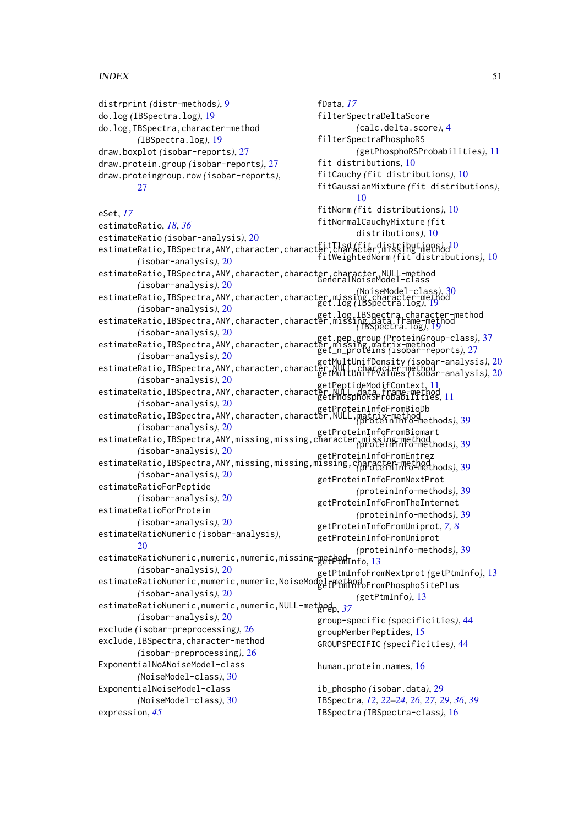### $I<sub>N</sub>$  in  $I<sub>N</sub>$  is  $I<sub>N</sub>$  in  $I<sub>N</sub>$  in  $I<sub>N</sub>$  in  $I<sub>N</sub>$  in  $I<sub>N</sub>$  in  $I<sub>N</sub>$  in  $I<sub>N</sub>$  in  $I<sub>N</sub>$  in  $I<sub>N</sub>$  in  $I<sub>N</sub>$  in  $I<sub>N</sub>$  in  $I<sub>N</sub>$  in  $I<sub>N</sub>$  in  $I<sub>N</sub>$  in  $I<sub>N</sub>$  in

distrprint *(*distr-methods*)*, [9](#page-8-0) do.log *(*IBSpectra.log*)*, [19](#page-18-0) do.log,IBSpectra,character-method *(*IBSpectra.log*)*, [19](#page-18-0) draw.boxplot *(*isobar-reports*)*, [27](#page-26-0) draw.protein.group *(*isobar-reports*)*, [27](#page-26-0) draw.proteingroup.row *(*isobar-reports*)*, [27](#page-26-0) eSet, *[17](#page-16-0)* estimateRatio, *[18](#page-17-0)*, *[36](#page-35-0)* estimateRatio *(*isobar-analysis*)*, [20](#page-19-0) estimateRatio,IBSpectra,ANY,character,character,character,missing-method fitTlsd *(*fit distributions*)*, [10](#page-9-0) *(*isobar-analysis*)*, [20](#page-19-0) estimateRatio,IBSpectra,ANY,character,character,character,NULL-method<br>GeneralNoiseModel-class *(*isobar-analysis*)*, [20](#page-19-0) estimateRatio,IBSpectra,ANY,character,character,missing,character-method *(*NoiseModel-class*)*, [30](#page-29-0) *(*isobar-analysis*)*, [20](#page-19-0) estimateRatio,IBSpectra,ANY,character,character,missing,data.frame-method<br>estimateRatio,IBSpectra,ANY,character,character,missing,data.frame-method *(*isobar-analysis*)*, [20](#page-19-0) estimateRatio,IBSpectra,ANY,character,character,missing,matrix-method get.pep.group *(*ProteinGroup-class*)*, [37](#page-36-0) *(*isobar-analysis*)*, [20](#page-19-0) estimateRatio,IBSpectra,ANY,character,character,<u>NULL,character-method</u><br>estimateRatio,IBSpectra,ANY,character,character,NULL,character,nethode *(*isobar-analysis*)*, [20](#page-19-0) etPeptideModifContext,[11](#page-10-0)<br>estimateRatio,IBSpectra,ANY,character,character,NULL,data,frame-method *(*isobar-analysis*)*, [20](#page-19-0) estimateRatio,IBSpectra,ANY,character,character,NULL,matrix-methodb<br>.estimateRatio,IBSpectra,ANY,character,character,NULL,matrix-method *(*isobar-analysis*)*, [20](#page-19-0) estimateRatio,IBSpectra,ANY,missing,missing,character,missing-method<br>,estimateRatio,IBSpectra,ANY,missing,missing,character,missing-method *(*isobar-analysis*)*, [20](#page-19-0) rsopar=anarysis), 20<br>|estimateRatio,IBSpectra,ANY,missing,missing,missing,character-method *(*isobar-analysis*)*, [20](#page-19-0) estimateRatioForPeptide *(*isobar-analysis*)*, [20](#page-19-0) estimateRatioForProtein *(*isobar-analysis*)*, [20](#page-19-0) estimateRatioNumeric *(*isobar-analysis*)*, [20](#page-19-0) estimateRatioNumeric,numeric,numeric,missing-getbendInfo,[13](#page-12-0) *(*isobar-analysis*)*, [20](#page-19-0) estimateRatioNumeric,numeric,numeric,NoiseModeltpethodoFromPhosphoSitePlus *(*isobar-analysis*)*, [20](#page-19-0) estimateRatioNumeric,numeric,numeric,NULL-met<mark>bod<sub>p, [37](#page-36-0)</sub></mark> *(*isobar-analysis*)*, [20](#page-19-0) exclude *(*isobar-preprocessing*)*, [26](#page-25-0) exclude,IBSpectra,character-method *(*isobar-preprocessing*)*, [26](#page-25-0) ExponentialNoANoiseModel-class *(*NoiseModel-class*)*, [30](#page-29-0) ExponentialNoiseModel-class *(*NoiseModel-class*)*, [30](#page-29-0) expression, *[45](#page-44-0)* fData, *[17](#page-16-0)* filterSpectraDeltaScore *(*calc.delta.score*)*, [4](#page-3-0) filterSpectraPhosphoRS *(*getPhosphoRSProbabilities*)*, [11](#page-10-0) fit distributions, [10](#page-9-0) fitCauchy *(*fit distributions*)*, [10](#page-9-0) fitGaussianMixture *(*fit distributions*)*, [10](#page-9-0) fitNorm *(*fit distributions*)*, [10](#page-9-0) fitNormalCauchyMixture *(*fit distributions*)*, [10](#page-9-0) fitWeightedNorm *(*fit distributions*)*, [10](#page-9-0) get.log *(*IBSpectra.log*)*, [19](#page-18-0) *(*IBSpectra.log*)*, [19](#page-18-0) get\_n\_proteins *(*isobar-reports*)*, [27](#page-26-0) getMultUnifPValues *(*isobar-analysis*)*, [20](#page-19-0) getPhosphoRSProbabilities, [11](#page-10-0) *(*proteinInfo-methods*)*, [39](#page-38-0) *(*proteinInfo-methods*)*, [39](#page-38-0) *(*proteinInfo-methods*)*, [39](#page-38-0) getProteinInfoFromNextProt *(*proteinInfo-methods*)*, [39](#page-38-0) getProteinInfoFromTheInternet *(*proteinInfo-methods*)*, [39](#page-38-0) getProteinInfoFromUniprot, *[7,](#page-6-0) [8](#page-7-0)* getProteinInfoFromUniprot *(*proteinInfo-methods*)*, [39](#page-38-0) getPtmInfoFromNextprot *(*getPtmInfo*)*, [13](#page-12-0) *(*getPtmInfo*)*, [13](#page-12-0) group-specific *(*specificities*)*, [44](#page-43-0) groupMemberPeptides, [15](#page-14-0) GROUPSPECIFIC *(*specificities*)*, [44](#page-43-0) human.protein.names, [16](#page-15-0) ib\_phospho *(*isobar.data*)*, [29](#page-28-0) IBSpectra, *[12](#page-11-0)*, *[22](#page-21-0)[–24](#page-23-0)*, *[26,](#page-25-0) [27](#page-26-0)*, *[29](#page-28-0)*, *[36](#page-35-0)*, *[39](#page-38-0)* IBSpectra *(*IBSpectra-class*)*, [16](#page-15-0)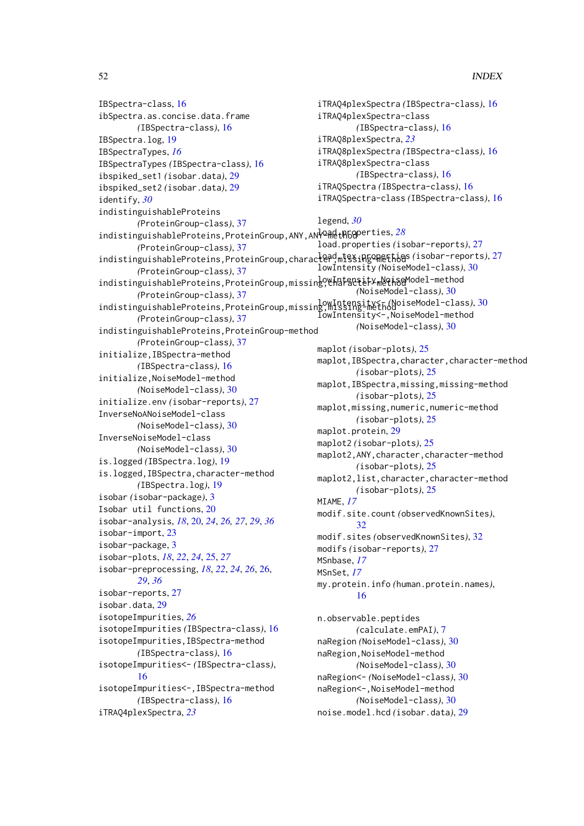IBSpectra-class, [16](#page-15-0) ibSpectra.as.concise.data.frame *(*IBSpectra-class*)*, [16](#page-15-0) IBSpectra.log, [19](#page-18-0) IBSpectraTypes, *[16](#page-15-0)* IBSpectraTypes *(*IBSpectra-class*)*, [16](#page-15-0) ibspiked\_set1 *(*isobar.data*)*, [29](#page-28-0) ibspiked\_set2 *(*isobar.data*)*, [29](#page-28-0) identify, *[30](#page-29-0)* indistinguishableProteins *(*ProteinGroup-class*)*, [37](#page-36-0) indistinguishableProteins, ProteinGroup, ANY, AN<sup>1</sup>QRethGoperties, [28](#page-27-0) *(*ProteinGroup-class*)*, [37](#page-36-0) indistinguishableProteins, ProteinGroup, character, mtssingomethods (isobar-reports), [27](#page-26-0) *(*ProteinGroup-class*)*, [37](#page-36-0) indistinguishableProteins, ProteinGroup, missing, Charactery MoiseModel-method *(*ProteinGroup-class*)*, [37](#page-36-0) indistinguishableProteins, ProteinGroup, missing, Missing-MethodoiseModel-class), [30](#page-29-0) *(*ProteinGroup-class*)*, [37](#page-36-0) indistinguishableProteins,ProteinGroup-method *(*ProteinGroup-class*)*, [37](#page-36-0) initialize,IBSpectra-method *(*IBSpectra-class*)*, [16](#page-15-0) initialize,NoiseModel-method *(*NoiseModel-class*)*, [30](#page-29-0) initialize.env *(*isobar-reports*)*, [27](#page-26-0) InverseNoANoiseModel-class *(*NoiseModel-class*)*, [30](#page-29-0) InverseNoiseModel-class *(*NoiseModel-class*)*, [30](#page-29-0) is.logged *(*IBSpectra.log*)*, [19](#page-18-0) is.logged,IBSpectra,character-method *(*IBSpectra.log*)*, [19](#page-18-0) isobar *(*isobar-package*)*, [3](#page-2-0) Isobar util functions, [20](#page-19-0) isobar-analysis, *[18](#page-17-0)*, [20,](#page-19-0) *[24](#page-23-0)*, *[26,](#page-25-0) [27](#page-26-0)*, *[29](#page-28-0)*, *[36](#page-35-0)* isobar-import, [23](#page-22-0) isobar-package, [3](#page-2-0) isobar-plots, *[18](#page-17-0)*, *[22](#page-21-0)*, *[24](#page-23-0)*, [25,](#page-24-0) *[27](#page-26-0)* isobar-preprocessing, *[18](#page-17-0)*, *[22](#page-21-0)*, *[24](#page-23-0)*, *[26](#page-25-0)*, [26,](#page-25-0) *[29](#page-28-0)*, *[36](#page-35-0)* isobar-reports, [27](#page-26-0) isobar.data, [29](#page-28-0) isotopeImpurities, *[26](#page-25-0)* isotopeImpurities *(*IBSpectra-class*)*, [16](#page-15-0) isotopeImpurities,IBSpectra-method *(*IBSpectra-class*)*, [16](#page-15-0) isotopeImpurities<- *(*IBSpectra-class*)*, [16](#page-15-0) isotopeImpurities<-,IBSpectra-method *(*IBSpectra-class*)*, [16](#page-15-0) iTRAQ4plexSpectra, *[23](#page-22-0)*

iTRAQ4plexSpectra *(*IBSpectra-class*)*, [16](#page-15-0) iTRAQ4plexSpectra-class *(*IBSpectra-class*)*, [16](#page-15-0) iTRAQ8plexSpectra, *[23](#page-22-0)* iTRAQ8plexSpectra *(*IBSpectra-class*)*, [16](#page-15-0) iTRAQ8plexSpectra-class *(*IBSpectra-class*)*, [16](#page-15-0) iTRAQSpectra *(*IBSpectra-class*)*, [16](#page-15-0) iTRAQSpectra-class *(*IBSpectra-class*)*, [16](#page-15-0) legend, *[30](#page-29-0)* load.properties *(*isobar-reports*)*, [27](#page-26-0) lowIntensity *(*NoiseModel-class*)*, [30](#page-29-0) *(*NoiseModel-class*)*, [30](#page-29-0) lowIntensity<-,NoiseModel-method *(*NoiseModel-class*)*, [30](#page-29-0) maplot *(*isobar-plots*)*, [25](#page-24-0) maplot,IBSpectra,character,character-method *(*isobar-plots*)*, [25](#page-24-0) maplot,IBSpectra,missing,missing-method *(*isobar-plots*)*, [25](#page-24-0) maplot,missing,numeric,numeric-method *(*isobar-plots*)*, [25](#page-24-0) maplot.protein, [29](#page-28-0) maplot2 *(*isobar-plots*)*, [25](#page-24-0) maplot2,ANY,character,character-method *(*isobar-plots*)*, [25](#page-24-0) maplot2,list,character,character-method *(*isobar-plots*)*, [25](#page-24-0) MIAME, *[17](#page-16-0)* modif.site.count *(*observedKnownSites*)*, [32](#page-31-0) modif.sites *(*observedKnownSites*)*, [32](#page-31-0) modifs *(*isobar-reports*)*, [27](#page-26-0) MSnbase, *[17](#page-16-0)* MSnSet, *[17](#page-16-0)* my.protein.info *(*human.protein.names*)*, [16](#page-15-0) n.observable.peptides *(*calculate.emPAI*)*, [7](#page-6-0) naRegion *(*NoiseModel-class*)*, [30](#page-29-0) naRegion,NoiseModel-method *(*NoiseModel-class*)*, [30](#page-29-0) naRegion<- *(*NoiseModel-class*)*, [30](#page-29-0) naRegion<-,NoiseModel-method *(*NoiseModel-class*)*, [30](#page-29-0) noise.model.hcd *(*isobar.data*)*, [29](#page-28-0)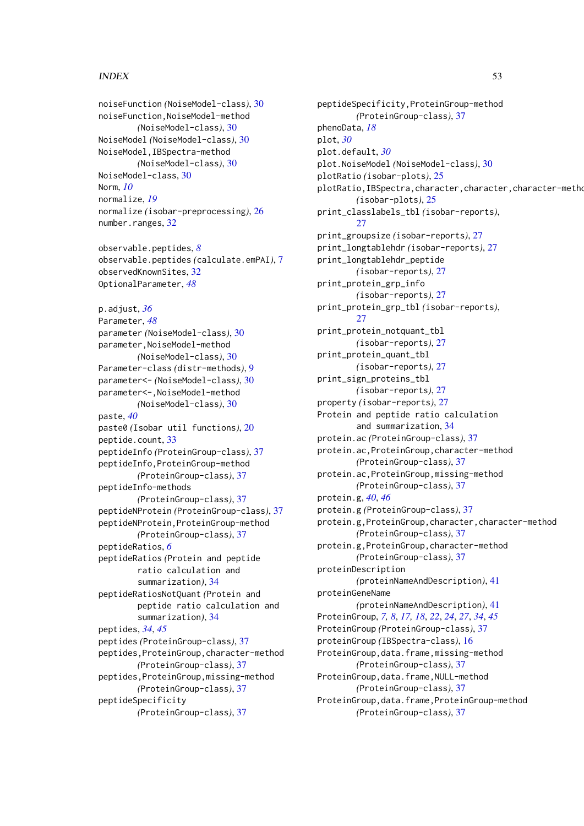noiseFunction *(*NoiseModel-class*)*, [30](#page-29-0) noiseFunction,NoiseModel-method *(*NoiseModel-class*)*, [30](#page-29-0) NoiseModel *(*NoiseModel-class*)*, [30](#page-29-0) NoiseModel,IBSpectra-method *(*NoiseModel-class*)*, [30](#page-29-0) NoiseModel-class, [30](#page-29-0) Norm, *[10](#page-9-0)* normalize, *[19](#page-18-0)* normalize *(*isobar-preprocessing*)*, [26](#page-25-0) number.ranges, [32](#page-31-0) observable.peptides, *[8](#page-7-0)* observable.peptides *(*calculate.emPAI*)*, [7](#page-6-0) observedKnownSites, [32](#page-31-0) OptionalParameter, *[48](#page-47-0)* p.adjust, *[36](#page-35-0)* Parameter, *[48](#page-47-0)* parameter *(*NoiseModel-class*)*, [30](#page-29-0) parameter,NoiseModel-method *(*NoiseModel-class*)*, [30](#page-29-0) Parameter-class *(*distr-methods*)*, [9](#page-8-0) parameter<- *(*NoiseModel-class*)*, [30](#page-29-0) parameter<-,NoiseModel-method *(*NoiseModel-class*)*, [30](#page-29-0) paste, *[40](#page-39-0)* paste0 *(*Isobar util functions*)*, [20](#page-19-0) peptide.count, [33](#page-32-0) peptideInfo *(*ProteinGroup-class*)*, [37](#page-36-0) peptideInfo,ProteinGroup-method *(*ProteinGroup-class*)*, [37](#page-36-0) peptideInfo-methods *(*ProteinGroup-class*)*, [37](#page-36-0) peptideNProtein *(*ProteinGroup-class*)*, [37](#page-36-0) peptideNProtein,ProteinGroup-method *(*ProteinGroup-class*)*, [37](#page-36-0) peptideRatios, *[6](#page-5-0)* peptideRatios *(*Protein and peptide ratio calculation and summarization*)*, [34](#page-33-0) peptideRatiosNotQuant *(*Protein and peptide ratio calculation and summarization*)*, [34](#page-33-0) peptides, *[34](#page-33-0)*, *[45](#page-44-0)* peptides *(*ProteinGroup-class*)*, [37](#page-36-0) peptides,ProteinGroup,character-method *(*ProteinGroup-class*)*, [37](#page-36-0) peptides,ProteinGroup,missing-method *(*ProteinGroup-class*)*, [37](#page-36-0) peptideSpecificity *(*ProteinGroup-class*)*, [37](#page-36-0)

peptideSpecificity,ProteinGroup-method *(*ProteinGroup-class*)*, [37](#page-36-0) phenoData, *[18](#page-17-0)* plot, *[30](#page-29-0)* plot.default, *[30](#page-29-0)* plot.NoiseModel *(*NoiseModel-class*)*, [30](#page-29-0) plotRatio *(*isobar-plots*)*, [25](#page-24-0) plotRatio, IBSpectra, character, character, character-metho *(*isobar-plots*)*, [25](#page-24-0) print\_classlabels\_tbl *(*isobar-reports*)*,  $27$ print\_groupsize *(*isobar-reports*)*, [27](#page-26-0) print\_longtablehdr *(*isobar-reports*)*, [27](#page-26-0) print\_longtablehdr\_peptide *(*isobar-reports*)*, [27](#page-26-0) print\_protein\_grp\_info *(*isobar-reports*)*, [27](#page-26-0) print\_protein\_grp\_tbl *(*isobar-reports*)*, [27](#page-26-0) print\_protein\_notquant\_tbl *(*isobar-reports*)*, [27](#page-26-0) print\_protein\_quant\_tbl *(*isobar-reports*)*, [27](#page-26-0) print\_sign\_proteins\_tbl *(*isobar-reports*)*, [27](#page-26-0) property *(*isobar-reports*)*, [27](#page-26-0) Protein and peptide ratio calculation and summarization, [34](#page-33-0) protein.ac *(*ProteinGroup-class*)*, [37](#page-36-0) protein.ac,ProteinGroup,character-method *(*ProteinGroup-class*)*, [37](#page-36-0) protein.ac,ProteinGroup,missing-method *(*ProteinGroup-class*)*, [37](#page-36-0) protein.g, *[40](#page-39-0)*, *[46](#page-45-0)* protein.g *(*ProteinGroup-class*)*, [37](#page-36-0) protein.g,ProteinGroup,character,character-method *(*ProteinGroup-class*)*, [37](#page-36-0) protein.g,ProteinGroup,character-method *(*ProteinGroup-class*)*, [37](#page-36-0) proteinDescription *(*proteinNameAndDescription*)*, [41](#page-40-0) proteinGeneName *(*proteinNameAndDescription*)*, [41](#page-40-0) ProteinGroup, *[7,](#page-6-0) [8](#page-7-0)*, *[17,](#page-16-0) [18](#page-17-0)*, *[22](#page-21-0)*, *[24](#page-23-0)*, *[27](#page-26-0)*, *[34](#page-33-0)*, *[45](#page-44-0)* ProteinGroup *(*ProteinGroup-class*)*, [37](#page-36-0) proteinGroup *(*IBSpectra-class*)*, [16](#page-15-0) ProteinGroup,data.frame,missing-method *(*ProteinGroup-class*)*, [37](#page-36-0) ProteinGroup,data.frame,NULL-method *(*ProteinGroup-class*)*, [37](#page-36-0) ProteinGroup,data.frame,ProteinGroup-method *(*ProteinGroup-class*)*, [37](#page-36-0)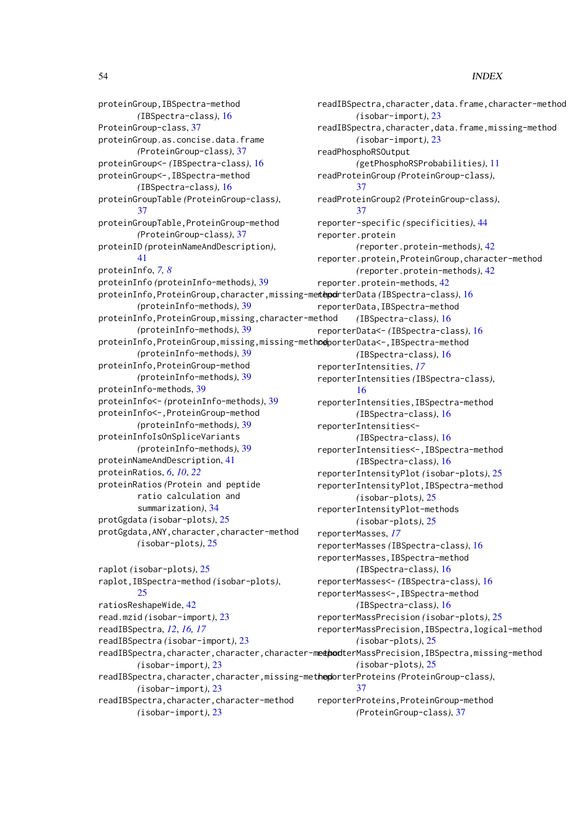proteinGroup,IBSpectra-method *(*IBSpectra-class*)*, [16](#page-15-0) ProteinGroup-class, [37](#page-36-0) proteinGroup.as.concise.data.frame *(*ProteinGroup-class*)*, [37](#page-36-0) proteinGroup<- *(*IBSpectra-class*)*, [16](#page-15-0) proteinGroup<-,IBSpectra-method *(*IBSpectra-class*)*, [16](#page-15-0) proteinGroupTable *(*ProteinGroup-class*)*, [37](#page-36-0) proteinGroupTable,ProteinGroup-method *(*ProteinGroup-class*)*, [37](#page-36-0) proteinID *(*proteinNameAndDescription*)*, [41](#page-40-0) proteinInfo, *[7,](#page-6-0) [8](#page-7-0)* proteinInfo *(*proteinInfo-methods*)*, [39](#page-38-0) proteinInfo,ProteinGroup,character,missing-method reporterData *(*IBSpectra-class*)*, [16](#page-15-0) *(*proteinInfo-methods*)*, [39](#page-38-0) proteinInfo,ProteinGroup,missing,character-method *(*proteinInfo-methods*)*, [39](#page-38-0) proteinInfo,ProteinGroup,missing,missing-meth**od**porterData<-,IBSpectra-method *(*proteinInfo-methods*)*, [39](#page-38-0) proteinInfo,ProteinGroup-method *(*proteinInfo-methods*)*, [39](#page-38-0) proteinInfo-methods, [39](#page-38-0) proteinInfo<- *(*proteinInfo-methods*)*, [39](#page-38-0) proteinInfo<-,ProteinGroup-method *(*proteinInfo-methods*)*, [39](#page-38-0) proteinInfoIsOnSpliceVariants *(*proteinInfo-methods*)*, [39](#page-38-0) proteinNameAndDescription, [41](#page-40-0) proteinRatios, *[6](#page-5-0)*, *[10](#page-9-0)*, *[22](#page-21-0)* proteinRatios *(*Protein and peptide ratio calculation and summarization*)*, [34](#page-33-0) protGgdata *(*isobar-plots*)*, [25](#page-24-0) protGgdata,ANY,character,character-method *(*isobar-plots*)*, [25](#page-24-0) raplot *(*isobar-plots*)*, [25](#page-24-0) raplot,IBSpectra-method *(*isobar-plots*)*,  $25$ 

ratiosReshapeWide, [42](#page-41-0)

read.mzid *(*isobar-import*)*, [23](#page-22-0) readIBSpectra, *[12](#page-11-0)*, *[16,](#page-15-0) [17](#page-16-0)*

readIBSpectra *(*isobar-import*)*, [23](#page-22-0)

*(*isobar-import*)*, [23](#page-22-0)

*(*isobar-import*)*, [23](#page-22-0)

*(*isobar-import*)*, [23](#page-22-0)

readIBSpectra,character,character-method

readIBSpectra, character, character, character-methodterMassPrecision, IBSpectra, missing-method readIBSpectra, character, character, missing-methoporterProteins (ProteinGroup-class), readIBSpectra,character,data.frame,character-method *(*isobar-import*)*, [23](#page-22-0) readIBSpectra,character,data.frame,missing-method *(*isobar-import*)*, [23](#page-22-0) readPhosphoRSOutput *(*getPhosphoRSProbabilities*)*, [11](#page-10-0) readProteinGroup *(*ProteinGroup-class*)*, [37](#page-36-0) readProteinGroup2 *(*ProteinGroup-class*)*, [37](#page-36-0) reporter-specific *(*specificities*)*, [44](#page-43-0) reporter.protein *(*reporter.protein-methods*)*, [42](#page-41-0) reporter.protein,ProteinGroup,character-method *(*reporter.protein-methods*)*, [42](#page-41-0) reporter.protein-methods, [42](#page-41-0) reporterData,IBSpectra-method *(*IBSpectra-class*)*, [16](#page-15-0) reporterData<- *(*IBSpectra-class*)*, [16](#page-15-0) *(*IBSpectra-class*)*, [16](#page-15-0) reporterIntensities, *[17](#page-16-0)* reporterIntensities *(*IBSpectra-class*)*, [16](#page-15-0) reporterIntensities,IBSpectra-method *(*IBSpectra-class*)*, [16](#page-15-0) reporterIntensities<- *(*IBSpectra-class*)*, [16](#page-15-0) reporterIntensities<-,IBSpectra-method *(*IBSpectra-class*)*, [16](#page-15-0) reporterIntensityPlot *(*isobar-plots*)*, [25](#page-24-0) reporterIntensityPlot,IBSpectra-method *(*isobar-plots*)*, [25](#page-24-0) reporterIntensityPlot-methods *(*isobar-plots*)*, [25](#page-24-0) reporterMasses, *[17](#page-16-0)* reporterMasses *(*IBSpectra-class*)*, [16](#page-15-0) reporterMasses,IBSpectra-method *(*IBSpectra-class*)*, [16](#page-15-0) reporterMasses<- *(*IBSpectra-class*)*, [16](#page-15-0) reporterMasses<-,IBSpectra-method *(*IBSpectra-class*)*, [16](#page-15-0) reporterMassPrecision *(*isobar-plots*)*, [25](#page-24-0) reporterMassPrecision,IBSpectra,logical-method *(*isobar-plots*)*, [25](#page-24-0) *(*isobar-plots*)*, [25](#page-24-0) [37](#page-36-0) reporterProteins,ProteinGroup-method *(*ProteinGroup-class*)*, [37](#page-36-0)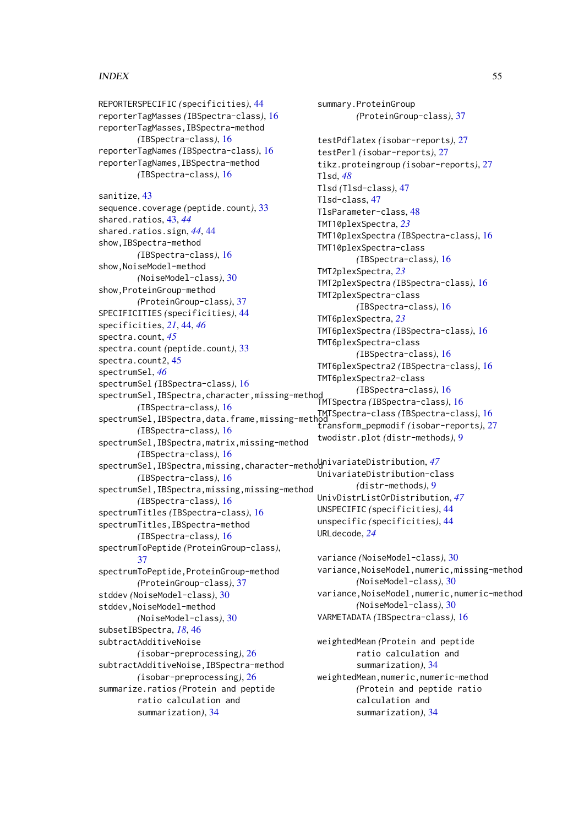REPORTERSPECIFIC *(*specificities*)*, [44](#page-43-0) reporterTagMasses *(*IBSpectra-class*)*, [16](#page-15-0) reporterTagMasses,IBSpectra-method *(*IBSpectra-class*)*, [16](#page-15-0) reporterTagNames *(*IBSpectra-class*)*, [16](#page-15-0) reporterTagNames,IBSpectra-method *(*IBSpectra-class*)*, [16](#page-15-0) sanitize, [43](#page-42-0) sequence.coverage *(*peptide.count*)*, [33](#page-32-0) shared.ratios, [43,](#page-42-0) *[44](#page-43-0)* shared.ratios.sign, *[44](#page-43-0)*, [44](#page-43-0) show,IBSpectra-method *(*IBSpectra-class*)*, [16](#page-15-0) show,NoiseModel-method *(*NoiseModel-class*)*, [30](#page-29-0) show,ProteinGroup-method *(*ProteinGroup-class*)*, [37](#page-36-0) SPECIFICITIES *(*specificities*)*, [44](#page-43-0) specificities, *[21](#page-20-0)*, [44,](#page-43-0) *[46](#page-45-0)* spectra.count, *[45](#page-44-0)* spectra.count *(*peptide.count*)*, [33](#page-32-0) spectra.count2, [45](#page-44-0) spectrumSel, *[46](#page-45-0)* spectrumSel *(*IBSpectra-class*)*, [16](#page-15-0) spectrumSel,IBSpectra,character,missing-method *(*IBSpectra-class*)*, [16](#page-15-0) *(*IBSpectra-class*)*, [16](#page-15-0) spectrumSel,IBSpectra,data.frame,missing-method TMTSpectra-class *(*IBSpectra-class*)*, [16](#page-15-0) *(*IBSpectra-class*)*, [16](#page-15-0) spectrumSel, IBSpectra, matrix, missing-method *(*IBSpectra-class*)*, [16](#page-15-0) spectrumSel,IBSpectra,missing,character-method UnivariateDistribution, *[47](#page-46-0) (*IBSpectra-class*)*, [16](#page-15-0) spectrumSel, IBSpectra, missing, missing-method *(*IBSpectra-class*)*, [16](#page-15-0) spectrumTitles *(*IBSpectra-class*)*, [16](#page-15-0) spectrumTitles,IBSpectra-method *(*IBSpectra-class*)*, [16](#page-15-0) spectrumToPeptide *(*ProteinGroup-class*)*, [37](#page-36-0) spectrumToPeptide,ProteinGroup-method *(*ProteinGroup-class*)*, [37](#page-36-0) stddev *(*NoiseModel-class*)*, [30](#page-29-0) stddev, NoiseModel-method *(*NoiseModel-class*)*, [30](#page-29-0) subsetIBSpectra, *[18](#page-17-0)*, [46](#page-45-0) subtractAdditiveNoise *(*isobar-preprocessing*)*, [26](#page-25-0) subtractAdditiveNoise,IBSpectra-method *(*isobar-preprocessing*)*, [26](#page-25-0) summarize.ratios *(*Protein and peptide ratio calculation and summarization*)*, [34](#page-33-0)

summary.ProteinGroup *(*ProteinGroup-class*)*, [37](#page-36-0) testPdflatex *(*isobar-reports*)*, [27](#page-26-0) testPerl *(*isobar-reports*)*, [27](#page-26-0) tikz.proteingroup *(*isobar-reports*)*, [27](#page-26-0) Tlsd, *[48](#page-47-0)* Tlsd *(*Tlsd-class*)*, [47](#page-46-0) Tlsd-class, [47](#page-46-0) TlsParameter-class, [48](#page-47-0) TMT10plexSpectra, *[23](#page-22-0)* TMT10plexSpectra *(*IBSpectra-class*)*, [16](#page-15-0) TMT10plexSpectra-class *(*IBSpectra-class*)*, [16](#page-15-0) TMT2plexSpectra, *[23](#page-22-0)* TMT2plexSpectra *(*IBSpectra-class*)*, [16](#page-15-0) TMT2plexSpectra-class *(*IBSpectra-class*)*, [16](#page-15-0) TMT6plexSpectra, *[23](#page-22-0)* TMT6plexSpectra *(*IBSpectra-class*)*, [16](#page-15-0) TMT6plexSpectra-class *(*IBSpectra-class*)*, [16](#page-15-0) TMT6plexSpectra2 *(*IBSpectra-class*)*, [16](#page-15-0) TMT6plexSpectra2-class TMTSpectra *(*IBSpectra-class*)*, [16](#page-15-0) transform\_pepmodif *(*isobar-reports*)*, [27](#page-26-0) twodistr.plot *(*distr-methods*)*, [9](#page-8-0) UnivariateDistribution-class *(*distr-methods*)*, [9](#page-8-0) UnivDistrListOrDistribution, *[47](#page-46-0)* UNSPECIFIC *(*specificities*)*, [44](#page-43-0) unspecific *(*specificities*)*, [44](#page-43-0) URLdecode, *[24](#page-23-0)* variance *(*NoiseModel-class*)*, [30](#page-29-0) variance,NoiseModel,numeric,missing-method *(*NoiseModel-class*)*, [30](#page-29-0) variance,NoiseModel,numeric,numeric-method *(*NoiseModel-class*)*, [30](#page-29-0) VARMETADATA *(*IBSpectra-class*)*, [16](#page-15-0) weightedMean *(*Protein and peptide ratio calculation and summarization*)*, [34](#page-33-0) weightedMean,numeric,numeric-method *(*Protein and peptide ratio

> calculation and summarization*)*, [34](#page-33-0)